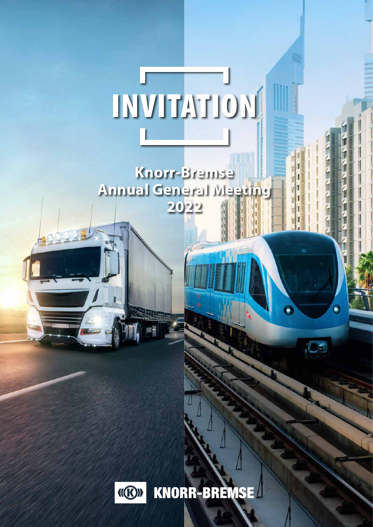# INVITATION

**Knorr-Bremse Annual General Meeting 2022**



KNORR-BREMSE

 $\bullet$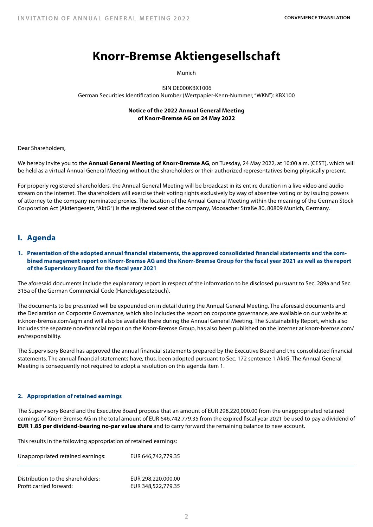# **Knorr-Bremse Aktiengesellschaft**

Munich

ISIN DE000KBX1006 German Securities Identification Number (Wertpapier-Kenn-Nummer, "WKN"): KBX100

# **Notice of the 2022 Annual General Meeting of Knorr-Bremse AG on 24 May 2022**

Dear Shareholders,

We hereby invite you to the **Annual General Meeting of Knorr-Bremse AG**, on Tuesday, 24 May 2022, at 10:00 a.m. (CEST), which will be held as a virtual Annual General Meeting without the shareholders or their authorized representatives being physically present.

For properly registered shareholders, the Annual General Meeting will be broadcast in its entire duration in a live video and audio stream on the internet. The shareholders will exercise their voting rights exclusively by way of absentee voting or by issuing powers of attorney to the company-nominated proxies. The location of the Annual General Meeting within the meaning of the German Stock Corporation Act (Aktiengesetz, "AktG") is the registered seat of the company, Moosacher Straße 80, 80809 Munich, Germany.

# **I. Agenda**

**1. Presentation of the adopted annual financial statements, the approved consolidated financial statements and the combined management report on Knorr-Bremse AG and the Knorr-Bremse Group for the fiscal year 2021 as well as the report of the Supervisory Board for the fiscal year 2021**

The aforesaid documents include the explanatory report in respect of the information to be disclosed pursuant to Sec. 289a and Sec. 315a of the German Commercial Code (Handelsgesetzbuch).

The documents to be presented will be expounded on in detail during the Annual General Meeting. The aforesaid documents and the Declaration on Corporate Governance, which also includes the report on corporate governance, are available on our website at ir.knorr-bremse.com/agm and will also be available there during the Annual General Meeting. The Sustainability Report, which also includes the separate non-financial report on the Knorr-Bremse Group, has also been published on the internet at knorr-bremse.com/ en/responsibility.

The Supervisory Board has approved the annual financial statements prepared by the Executive Board and the consolidated financial statements. The annual financial statements have, thus, been adopted pursuant to Sec. 172 sentence 1 AktG. The Annual General Meeting is consequently not required to adopt a resolution on this agenda item 1.

# **2. Appropriation of retained earnings**

The Supervisory Board and the Executive Board propose that an amount of EUR 298,220,000.00 from the unappropriated retained earnings of Knorr-Bremse AG in the total amount of EUR 646,742,779.35 from the expired fiscal year 2021 be used to pay a dividend of **EUR 1.85 per dividend-bearing no-par value share** and to carry forward the remaining balance to new account.

This results in the following appropriation of retained earnings:

| Unappropriated retained earnings: | EUR 646,742,779.35 |
|-----------------------------------|--------------------|
| Distribution to the shareholders: | EUR 298,220,000.00 |
| Profit carried forward:           | EUR 348,522,779.35 |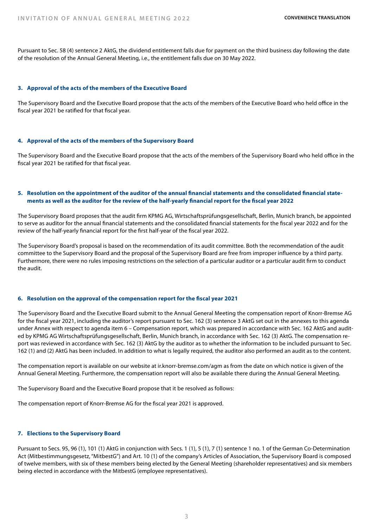Pursuant to Sec. 58 (4) sentence 2 AktG, the dividend entitlement falls due for payment on the third business day following the date of the resolution of the Annual General Meeting, i.e., the entitlement falls due on 30 May 2022.

#### **3. Approval of the acts of the members of the Executive Board**

The Supervisory Board and the Executive Board propose that the acts of the members of the Executive Board who held office in the fiscal year 2021 be ratified for that fiscal year.

# **4. Approval of the acts of the members of the Supervisory Board**

The Supervisory Board and the Executive Board propose that the acts of the members of the Supervisory Board who held office in the fiscal year 2021 be ratified for that fiscal year.

# **5. Resolution on the appointment of the auditor of the annual financial statements and the consolidated financial statements as well as the auditor for the review of the half-yearly financial report for the fiscal year 2022**

The Supervisory Board proposes that the audit firm KPMG AG, Wirtschaftsprüfungsgesellschaft, Berlin, Munich branch, be appointed to serve as auditor for the annual financial statements and the consolidated financial statements for the fiscal year 2022 and for the review of the half-yearly financial report for the first half-year of the fiscal year 2022.

The Supervisory Board's proposal is based on the recommendation of its audit committee. Both the recommendation of the audit committee to the Supervisory Board and the proposal of the Supervisory Board are free from improper influence by a third party. Furthermore, there were no rules imposing restrictions on the selection of a particular auditor or a particular audit firm to conduct the audit.

#### **6. Resolution on the approval of the compensation report for the fiscal year 2021**

The Supervisory Board and the Executive Board submit to the Annual General Meeting the compensation report of Knorr-Bremse AG for the fiscal year 2021, including the auditor's report pursuant to Sec. 162 (3) sentence 3 AktG set out in the annexes to this agenda under Annex with respect to agenda item 6 – Compensation report, which was prepared in accordance with Sec. 162 AktG and audited by KPMG AG Wirtschaftsprüfungsgesellschaft, Berlin, Munich branch, in accordance with Sec. 162 (3) AktG. The compensation report was reviewed in accordance with Sec. 162 (3) AktG by the auditor as to whether the information to be included pursuant to Sec. 162 (1) and (2) AktG has been included. In addition to what is legally required, the auditor also performed an audit as to the content.

The compensation report is available on our website at ir.knorr-bremse.com/agm as from the date on which notice is given of the Annual General Meeting. Furthermore, the compensation report will also be available there during the Annual General Meeting.

The Supervisory Board and the Executive Board propose that it be resolved as follows:

The compensation report of Knorr-Bremse AG for the fiscal year 2021 is approved.

# **7. Elections to the Supervisory Board**

Pursuant to Secs. 95, 96 (1), 101 (1) AktG in conjunction with Secs. 1 (1), 5 (1), 7 (1) sentence 1 no. 1 of the German Co-Determination Act (Mitbestimmungsgesetz, "MitbestG") and Art. 10 (1) of the company's Articles of Association, the Supervisory Board is composed of twelve members, with six of these members being elected by the General Meeting (shareholder representatives) and six members being elected in accordance with the MitbestG (employee representatives).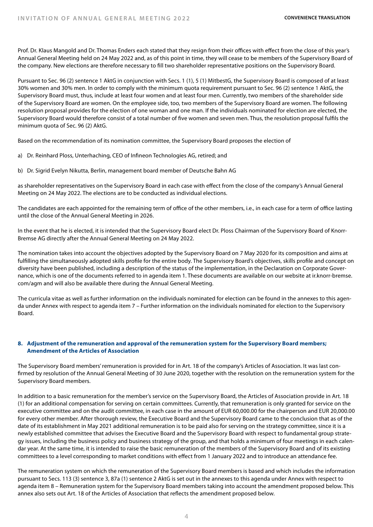Prof. Dr. Klaus Mangold and Dr. Thomas Enders each stated that they resign from their offices with effect from the close of this year's Annual General Meeting held on 24 May 2022 and, as of this point in time, they will cease to be members of the Supervisory Board of the company. New elections are therefore necessary to fill two shareholder representative positions on the Supervisory Board.

Pursuant to Sec. 96 (2) sentence 1 AktG in conjunction with Secs. 1 (1), 5 (1) MitbestG, the Supervisory Board is composed of at least 30% women and 30% men. In order to comply with the minimum quota requirement pursuant to Sec. 96 (2) sentence 1 AktG, the Supervisory Board must, thus, include at least four women and at least four men. Currently, two members of the shareholder side of the Supervisory Board are women. On the employee side, too, two members of the Supervisory Board are women. The following resolution proposal provides for the election of one woman and one man. If the individuals nominated for election are elected, the Supervisory Board would therefore consist of a total number of five women and seven men. Thus, the resolution proposal fulfils the minimum quota of Sec. 96 (2) AktG.

Based on the recommendation of its nomination committee, the Supervisory Board proposes the election of

- a) Dr. Reinhard Ploss, Unterhaching, CEO of Infineon Technologies AG, retired; and
- b) Dr. Sigrid Evelyn Nikutta, Berlin, management board member of Deutsche Bahn AG

as shareholder representatives on the Supervisory Board in each case with effect from the close of the company's Annual General Meeting on 24 May 2022. The elections are to be conducted as individual elections.

The candidates are each appointed for the remaining term of office of the other members, i.e., in each case for a term of office lasting until the close of the Annual General Meeting in 2026.

In the event that he is elected, it is intended that the Supervisory Board elect Dr. Ploss Chairman of the Supervisory Board of Knorr-Bremse AG directly after the Annual General Meeting on 24 May 2022.

The nomination takes into account the objectives adopted by the Supervisory Board on 7 May 2020 for its composition and aims at fulfilling the simultaneously adopted skills profile for the entire body. The Supervisory Board's objectives, skills profile and concept on diversity have been published, including a description of the status of the implementation, in the Declaration on Corporate Governance, which is one of the documents referred to in agenda item 1. These documents are available on our website at ir.knorr-bremse. com/agm and will also be available there during the Annual General Meeting.

The curricula vitae as well as further information on the individuals nominated for election can be found in the annexes to this agenda under Annex with respect to agenda item 7 – Further information on the individuals nominated for election to the Supervisory Board.

# **8. Adjustment of the remuneration and approval of the remuneration system for the Supervisory Board members; Amendment of the Articles of Association**

The Supervisory Board members' remuneration is provided for in Art. 18 of the company's Articles of Association. It was last confirmed by resolution of the Annual General Meeting of 30 June 2020, together with the resolution on the remuneration system for the Supervisory Board members.

In addition to a basic remuneration for the member's service on the Supervisory Board, the Articles of Association provide in Art. 18 (1) for an additional compensation for serving on certain committees. Currently, that remuneration is only granted for service on the executive committee and on the audit committee, in each case in the amount of EUR 60,000.00 for the chairperson and EUR 20,000.00 for every other member. After thorough review, the Executive Board and the Supervisory Board came to the conclusion that as of the date of its establishment in May 2021 additional remuneration is to be paid also for serving on the strategy committee, since it is a newly established committee that advises the Executive Board and the Supervisory Board with respect to fundamental group strategy issues, including the business policy and business strategy of the group, and that holds a minimum of four meetings in each calendar year. At the same time, it is intended to raise the basic remuneration of the members of the Supervisory Board and of its existing committees to a level corresponding to market conditions with effect from 1 January 2022 and to introduce an attendance fee.

The remuneration system on which the remuneration of the Supervisory Board members is based and which includes the information pursuant to Secs. 113 (3) sentence 3, 87a (1) sentence 2 AktG is set out in the annexes to this agenda under Annex with respect to agenda item 8 – Remuneration system for the Supervisory Board members taking into account the amendment proposed below. This annex also sets out Art. 18 of the Articles of Association that reflects the amendment proposed below.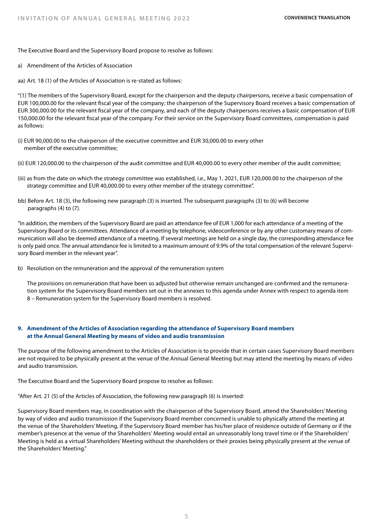The Executive Board and the Supervisory Board propose to resolve as follows:

a) Amendment of the Articles of Association

aa) Art. 18 (1) of the Articles of Association is re-stated as follows:

"(1) The members of the Supervisory Board, except for the chairperson and the deputy chairpersons, receive a basic compensation of EUR 100,000.00 for the relevant fiscal year of the company; the chairperson of the Supervisory Board receives a basic compensation of EUR 300,000.00 for the relevant fiscal year of the company, and each of the deputy chairpersons receives a basic compensation of EUR 150,000.00 for the relevant fiscal year of the company. For their service on the Supervisory Board committees, compensation is paid as follows:

- (i) EUR 90,000.00 to the chairperson of the executive committee and EUR 30,000.00 to every other member of the executive committee;
- (ii) EUR 120,000.00 to the chairperson of the audit committee and EUR 40,000.00 to every other member of the audit committee;
- (iii) as from the date on which the strategy committee was established, i.e., May 1, 2021, EUR 120,000.00 to the chairperson of the strategy committee and EUR 40,000.00 to every other member of the strategy committee".
- bb) Before Art. 18 (3), the following new paragraph (3) is inserted. The subsequent paragraphs (3) to (6) will become paragraphs (4) to (7).

"In addition, the members of the Supervisory Board are paid an attendance fee of EUR 1,000 for each attendance of a meeting of the Supervisory Board or its committees. Attendance of a meeting by telephone, videoconference or by any other customary means of communication will also be deemed attendance of a meeting. If several meetings are held on a single day, the corresponding attendance fee is only paid once. The annual attendance fee is limited to a maximum amount of 9.9% of the total compensation of the relevant Supervisory Board member in the relevant year".

b) Resolution on the remuneration and the approval of the remuneration system

 The provisions on remuneration that have been so adjusted but otherwise remain unchanged are confirmed and the remuneration system for the Supervisory Board members set out in the annexes to this agenda under Annex with respect to agenda item 8 – Remuneration system for the Supervisory Board members is resolved.

# **9. Amendment of the Articles of Association regarding the attendance of Supervisory Board members at the Annual General Meeting by means of video and audio transmission**

The purpose of the following amendment to the Articles of Association is to provide that in certain cases Supervisory Board members are not required to be physically present at the venue of the Annual General Meeting but may attend the meeting by means of video and audio transmission.

The Executive Board and the Supervisory Board propose to resolve as follows:

"After Art. 21 (5) of the Articles of Association, the following new paragraph (6) is inserted:

Supervisory Board members may, in coordination with the chairperson of the Supervisory Board, attend the Shareholders' Meeting by way of video and audio transmission if the Supervisory Board member concerned is unable to physically attend the meeting at the venue of the Shareholders' Meeting, if the Supervisory Board member has his/her place of residence outside of Germany or if the member's presence at the venue of the Shareholders' Meeting would entail an unreasonably long travel time or if the Shareholders' Meeting is held as a virtual Shareholders' Meeting without the shareholders or their proxies being physically present at the venue of the Shareholders' Meeting."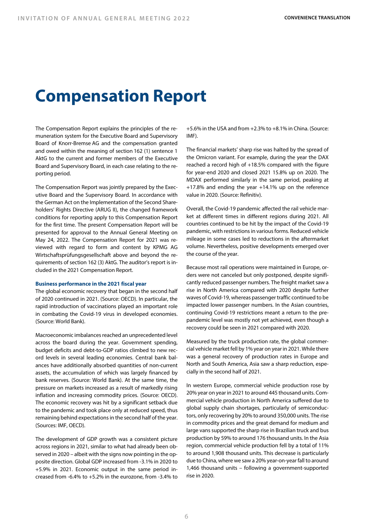# **Compensation Report**

The Compensation Report explains the principles of the remuneration system for the Executive Board and Supervisory Board of Knorr-Bremse AG and the compensation granted and owed within the meaning of section 162 (1) sentence 1 AktG to the current and former members of the Executive Board and Supervisory Board, in each case relating to the reporting period.

The Compensation Report was jointly prepared by the Executive Board and the Supervisory Board. In accordance with the German Act on the Implementation of the Second Shareholders' Rights Directive (ARUG II), the changed framework conditions for reporting apply to this Compensation Report for the first time. The present Compensation Report will be presented for approval to the Annual General Meeting on May 24, 2022. The Compensation Report for 2021 was reviewed with regard to form and content by KPMG AG Wirtschaftsprüfungsgesellschaft above and beyond the requirements of section 162 (3) AktG. The auditor's report is included in the 2021 Compensation Report.

#### **Business performance in the 2021 fiscal year**

The global economic recovery that began in the second half of 2020 continued in 2021. (Source: OECD). In particular, the rapid introduction of vaccinations played an important role in combating the Covid-19 virus in developed economies. (Source: World Bank).

Macroeconomic imbalances reached an unprecedented level across the board during the year. Government spending, budget deficits and debt-to-GDP ratios climbed to new record levels in several leading economies. Central bank balances have additionally absorbed quantities of non-current assets, the accumulation of which was largely financed by bank reserves. (Source: World Bank). At the same time, the pressure on markets increased as a result of markedly rising inflation and increasing commodity prices. (Source: OECD). The economic recovery was hit by a significant setback due to the pandemic and took place only at reduced speed, thus remaining behind expectations in the second half of the year. (Sources: IMF, OECD).

The development of GDP growth was a consistent picture across regions in 2021, similar to what had already been observed in 2020 – albeit with the signs now pointing in the opposite direction. Global GDP increased from -3.1% in 2020 to +5.9% in 2021. Economic output in the same period increased from -6.4% to +5.2% in the eurozone, from -3.4% to

+5.6% in the USA and from +2.3% to +8.1% in China. (Source: IMF).

The financial markets' sharp rise was halted by the spread of the Omicron variant. For example, during the year the DAX reached a record high of +18.5% compared with the figure for year-end 2020 and closed 2021 15.8% up on 2020. The MDAX performed similarly in the same period, peaking at +17.8% and ending the year +14.1% up on the reference value in 2020. (Source: Refinitiv).

Overall, the Covid-19 pandemic affected the rail vehicle market at different times in different regions during 2021. All countries continued to be hit by the impact of the Covid-19 pandemic, with restrictions in various forms. Reduced vehicle mileage in some cases led to reductions in the aftermarket volume. Nevertheless, positive developments emerged over the course of the year.

Because most rail operations were maintained in Europe, orders were not canceled but only postponed, despite significantly reduced passenger numbers. The freight market saw a rise in North America compared with 2020 despite further waves of Covid-19, whereas passenger traffic continued to be impacted lower passenger numbers. In the Asian countries, continuing Covid-19 restrictions meant a return to the prepandemic level was mostly not yet achieved, even though a recovery could be seen in 2021 compared with 2020.

Measured by the truck production rate, the global commercial vehicle market fell by 1% year on year in 2021. While there was a general recovery of production rates in Europe and North and South America, Asia saw a sharp reduction, especially in the second half of 2021.

In western Europe, commercial vehicle production rose by 20% year on year in 2021 to around 445 thousand units. Commercial vehicle production in North America suffered due to global supply chain shortages, particularly of semiconductors, only recovering by 20% to around 350,000 units. The rise in commodity prices and the great demand for medium and large vans supported the sharp rise in Brazilian truck and bus production by 59% to around 176 thousand units. In the Asia region, commercial vehicle production fell by a total of 11% to around 1,908 thousand units. This decrease is particularly due to China, where we saw a 20% year-on-year fall to around 1,466 thousand units – following a government-supported rise in 2020.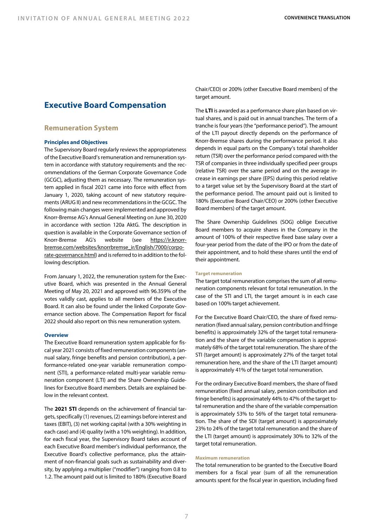# **Executive Board Compensation**

#### **Remuneration System**

#### **Principles and Objectives**

The Supervisory Board regularly reviews the appropriateness of the Executive Board's remuneration and remuneration system in accordance with statutory requirements and the recommendations of the German Corporate Governance Code (GCGC), adjusting them as necessary. The remuneration system applied in fiscal 2021 came into force with effect from January 1, 2020, taking account of new statutory requirements (ARUG II) and new recommendations in the GCGC. The following main changes were implemented and approved by Knorr-Bremse AG's Annual General Meeting on June 30, 2020 in accordance with section 120a AktG. The description in question is available in the Corporate Governance section of Knorr-Bremse AG's website (see https://ir.knorrbremse.com/websites/knorrbremse\_ir/English/7000/corporate-governance.html) and is referred to in addition to the following description.

From January 1, 2022, the remuneration system for the Executive Board, which was presented in the Annual General Meeting of May 20, 2021 and approved with 96.359% of the votes validly cast, applies to all members of the Executive Board. It can also be found under the linked Corporate Governance section above. The Compensation Report for fiscal 2022 should also report on this new remuneration system.

#### **Overview**

The Executive Board remuneration system applicable for fiscal year 2021 consists of fixed remuneration components (annual salary, fringe benefits and pension contribution), a performance-related one-year variable remuneration component (STI), a performance-related multi-year variable remuneration component (LTI) and the Share Ownership Guidelines for Executive Board members. Details are explained below in the relevant context.

The **2021 STI** depends on the achievement of financial targets, specifically (1) revenues, (2) earnings before interest and taxes (EBIT), (3) net working capital (with a 30% weighting in each case) and (4) quality (with a 10% weighting). In addition, for each fiscal year, the Supervisory Board takes account of each Executive Board member's individual performance, the Executive Board's collective performance, plus the attainment of non-financial goals such as sustainability and diversity, by applying a multiplier ("modifier") ranging from 0.8 to 1.2. The amount paid out is limited to 180% (Executive Board

Chair/CEO) or 200% (other Executive Board members) of the target amount.

The **LTI** is awarded as a performance share plan based on virtual shares, and is paid out in annual tranches. The term of a tranche is four years (the "performance period"). The amount of the LTI payout directly depends on the performance of Knorr-Bremse shares during the performance period. It also depends in equal parts on the Company's total shareholder return (TSR) over the performance period compared with the TSR of companies in three individually specified peer groups (relative TSR) over the same period and on the average increase in earnings per share (EPS) during this period relative to a target value set by the Supervisory Board at the start of the performance period. The amount paid out is limited to 180% (Executive Board Chair/CEO) or 200% (other Executive Board members) of the target amount.

The Share Ownership Guidelines (SOG) oblige Executive Board members to acquire shares in the Company in the amount of 100% of their respective fixed base salary over a four-year period from the date of the IPO or from the date of their appointment, and to hold these shares until the end of their appointment.

#### **Target remuneration**

The target total remuneration comprises the sum of all remuneration components relevant for total remuneration. In the case of the STI and LTI, the target amount is in each case based on 100% target achievement.

For the Executive Board Chair/CEO, the share of fixed remuneration (fixed annual salary, pension contribution and fringe benefits) is approximately 32% of the target total remuneration and the share of the variable compensation is approximately 68% of the target total remuneration. The share of the STI (target amount) is approximately 27% of the target total remuneration here, and the share of the LTI (target amount) is approximately 41% of the target total remuneration.

For the ordinary Executive Board members, the share of fixed remuneration (fixed annual salary, pension contribution and fringe benefits) is approximately 44% to 47% of the target total remuneration and the share of the variable compensation is approximately 53% to 56% of the target total remuneration. The share of the SDI (target amount) is approximately 23% to 24% of the target total remuneration and the share of the LTI (target amount) is approximately 30% to 32% of the target total remuneration.

#### **Maximum remuneration**

The total remuneration to be granted to the Executive Board members for a fiscal year (sum of all the remuneration amounts spent for the fiscal year in question, including fixed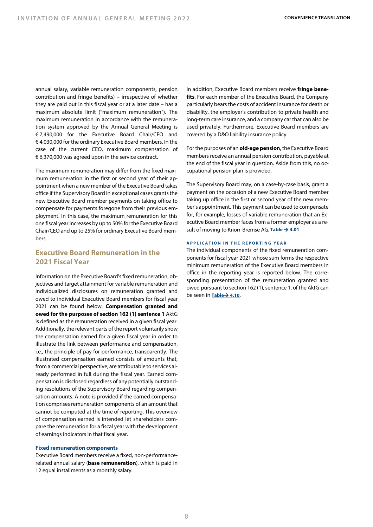annual salary, variable remuneration components, pension contribution and fringe benefits) – irrespective of whether they are paid out in this fiscal year or at a later date – has a maximum absolute limit ("maximum remuneration"). The maximum remuneration in accordance with the remuneration system approved by the Annual General Meeting is € 7,490,000 for the Executive Board Chair/CEO and € 4,030,000 for the ordinary Executive Board members. In the case of the current CEO, maximum compensation of € 6,370,000 was agreed upon in the service contract.

The maximum remuneration may differ from the fixed maximum remuneration in the first or second year of their appointment when a new member of the Executive Board takes office if the Supervisory Board in exceptional cases grants the new Executive Board member payments on taking office to compensate for payments foregone from their previous employment. In this case, the maximum remuneration for this one fiscal year increases by up to 50% for the Executive Board Chair/CEO and up to 25% for ordinary Executive Board memhore

# **Executive Board Remuneration in the 2021 Fiscal Year**

Information on the Executive Board's fixed remuneration, objectives and target attainment for variable remuneration and individualized disclosures on remuneration granted and owed to individual Executive Board members for fiscal year 2021 can be found below. **Compensation granted and owed for the purposes of section 162 (1) sentence 1** AktG is defined as the remuneration received in a given fiscal year. Additionally, the relevant parts of the report voluntarily show the compensation earned for a given fiscal year in order to illustrate the link between performance and compensation, i.e., the principle of pay for performance, transparently. The illustrated compensation earned consists of amounts that, from a commercial perspective, are attributable to services already performed in full during the fiscal year. Earned compensation is disclosed regardless of any potentially outstanding resolutions of the Supervisory Board regarding compensation amounts. A note is provided if the earned compensation comprises remuneration components of an amount that cannot be computed at the time of reporting. This overview of compensation earned is intended let shareholders compare the remuneration for a fiscal year with the development of earnings indicators in that fiscal year.

#### **Fixed remuneration components**

Executive Board members receive a fixed, non-performancerelated annual salary (**base remuneration**), which is paid in 12 equal installments as a monthly salary.

In addition, Executive Board members receive **fringe benefits**. For each member of the Executive Board, the Company particularly bears the costs of accident insurance for death or disability, the employer's contribution to private health and long-term care insurance, and a company car that can also be used privately. Furthermore, Executive Board members are covered by a D&O liability insurance policy.

For the purposes of an **old-age pension**, the Executive Board members receive an annual pension contribution, payable at the end of the fiscal year in question. Aside from this, no occupational pension plan is provided.

The Supervisory Board may, on a case-by-case basis, grant a payment on the occasion of a new Executive Board member taking up office in the first or second year of the new member's appointment. This payment can be used to compensate for, for example, losses of variable remuneration that an Executive Board member faces from a former employer as a result of moving to Knorr-Bremse AG. Table  $\rightarrow$  4.01

#### **APPLICATION IN THE REPORTING YEAR**

The individual components of the fixed remuneration components for fiscal year 2021 whose sum forms the respective minimum remuneration of the Executive Board members in office in the reporting year is reported below. The corresponding presentation of the remuneration granted and owed pursuant to section 162 (1), sentence 1, of the AktG can be seen in **Table**à **4.10**.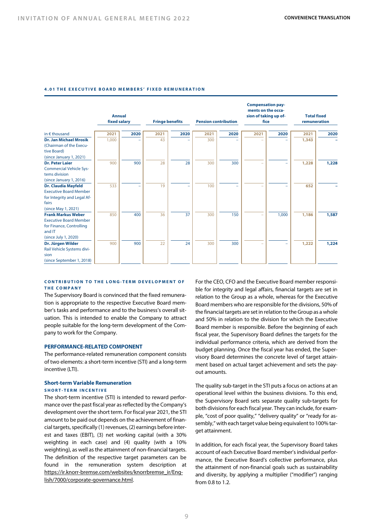#### **4.01 THE EXECUTIVE BOARD MEMBERS' FIXED REMUNERATION**

|                                                                                                                                                 | <b>Annual</b><br>fixed salary |      |      | <b>Fringe benefits</b><br><b>Pension contribution</b> |      |      | <b>Compensation pay-</b><br>ments on the occa-<br>sion of taking up of-<br>fice |       | <b>Total fixed</b><br>remuneration |       |
|-------------------------------------------------------------------------------------------------------------------------------------------------|-------------------------------|------|------|-------------------------------------------------------|------|------|---------------------------------------------------------------------------------|-------|------------------------------------|-------|
| in $\epsilon$ thousand                                                                                                                          | 2021                          | 2020 | 2021 | 2020                                                  | 2021 | 2020 | 2021                                                                            | 2020  | 2021                               | 2020  |
| <b>Dr. Jan Michael Mrosik</b><br>(Chairman of the Execu-<br>tive Board)<br>(since January 1, 2021)                                              | 1,000                         |      | 43   |                                                       | 300  |      |                                                                                 |       | 1,343                              |       |
| <b>Dr. Peter Laier</b><br><b>Commercial Vehicle Sys-</b><br>tems division<br>(since January 1, 2016)                                            | 900                           | 900  | 28   | 28                                                    | 300  | 300  |                                                                                 |       | 1,228                              | 1,228 |
| <b>Dr. Claudia Mayfeld</b><br><b>Executive Board Member</b><br>for Integrity and Legal Af-<br>fairs                                             | 533                           |      | 19   |                                                       | 100  |      |                                                                                 |       | 652                                |       |
| (since May 1, 2021)<br><b>Frank Markus Weber</b><br><b>Executive Board Member</b><br>for Finance, Controlling<br>and IT<br>(since July 1, 2020) | 850                           | 400  | 36   | 37                                                    | 300  | 150  |                                                                                 | 1,000 | 1,186                              | 1,587 |
| Dr. Jürgen Wilder<br>Rail Vehicle Systems divi-<br>sion<br>(since September 1, 2018)                                                            | 900                           | 900  | 22   | 24                                                    | 300  | 300  |                                                                                 |       | 1,222                              | 1,224 |

#### **CONTRIBUTION TO THE LONG- TERM DEVELOPMENT OF THE COMPANY**

The Supervisory Board is convinced that the fixed remuneration is appropriate to the respective Executive Board member's tasks and performance and to the business's overall situation. This is intended to enable the Company to attract people suitable for the long-term development of the Company to work for the Company.

#### **PERFORMANCE-RELATED COMPONENT**

The performance-related remuneration component consists of two elements: a short-term incentive (STI) and a long-term incentive (LTI).

#### **Short-term Variable Remuneration SHORT - TERM INCENTIVE**

The short-term incentive (STI) is intended to reward performance over the past fiscal year as reflected by the Company's development over the short term. For fiscal year 2021, the STI amount to be paid out depends on the achievement of financial targets, specifically (1) revenues, (2) earnings before interest and taxes (EBIT), (3) net working capital (with a 30% weighting in each case) and (4) quality (with a 10% weighting), as well as the attainment of non-financial targets. The definition of the respective target parameters can be found in the remuneration system description at https://ir.knorr-bremse.com/websites/knorrbremse\_ir/English/7000/corporate-governance.html.

For the CEO, CFO and the Executive Board member responsible for integrity and legal affairs, financial targets are set in relation to the Group as a whole, whereas for the Executive Board members who are responsible for the divisions, 50% of the financial targets are set in relation to the Group as a whole and 50% in relation to the division for which the Executive Board member is responsible. Before the beginning of each fiscal year, the Supervisory Board defines the targets for the individual performance criteria, which are derived from the budget planning. Once the fiscal year has ended, the Supervisory Board determines the concrete level of target attainment based on actual target achievement and sets the payout amounts.

The quality sub-target in the STI puts a focus on actions at an operational level within the business divisions. To this end, the Supervisory Board sets separate quality sub-targets for both divisions for each fiscal year. They can include, for example, "cost of poor quality," "delivery quality" or "ready for assembly," with each target value being equivalent to 100% target attainment.

In addition, for each fiscal year, the Supervisory Board takes account of each Executive Board member's individual performance, the Executive Board's collective performance, plus the attainment of non-financial goals such as sustainability and diversity, by applying a multiplier ("modifier") ranging from 0.8 to 1.2.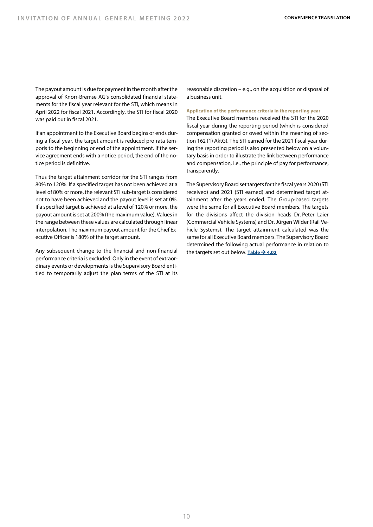The payout amount is due for payment in the month after the approval of Knorr-Bremse AG's consolidated financial statements for the fiscal year relevant for the STI, which means in April 2022 for fiscal 2021. Accordingly, the STI for fiscal 2020 was paid out in fiscal 2021.

If an appointment to the Executive Board begins or ends during a fiscal year, the target amount is reduced pro rata temporis to the beginning or end of the appointment. If the service agreement ends with a notice period, the end of the notice period is definitive.

Thus the target attainment corridor for the STI ranges from 80% to 120%. If a specified target has not been achieved at a level of 80% or more, the relevant STI sub-target is considered not to have been achieved and the payout level is set at 0%. If a specified target is achieved at a level of 120% or more, the payout amount is set at 200% (the maximum value). Values in the range between these values are calculated through linear interpolation. The maximum payout amount for the Chief Executive Officer is 180% of the target amount.

Any subsequent change to the financial and non-financial performance criteria is excluded. Only in the event of extraordinary events or developments is the Supervisory Board entitled to temporarily adjust the plan terms of the STI at its

reasonable discretion – e.g., on the acquisition or disposal of a business unit.

#### **Application of the performance criteria in the reporting year**

The Executive Board members received the STI for the 2020 fiscal year during the reporting period (which is considered compensation granted or owed within the meaning of section 162 (1) AktG). The STI earned for the 2021 fiscal year during the reporting period is also presented below on a voluntary basis in order to illustrate the link between performance and compensation, i.e., the principle of pay for performance, transparently.

The Supervisory Board set targets for the fiscal years 2020 (STI received) and 2021 (STI earned) and determined target attainment after the years ended. The Group-based targets were the same for all Executive Board members. The targets for the divisions affect the division heads Dr. Peter Laier (Commercial Vehicle Systems) and Dr. Jürgen Wilder (Rail Vehicle Systems). The target attainment calculated was the same for all Executive Board members. The Supervisory Board determined the following actual performance in relation to the targets set out below. **Table**  $\rightarrow$  **4.02**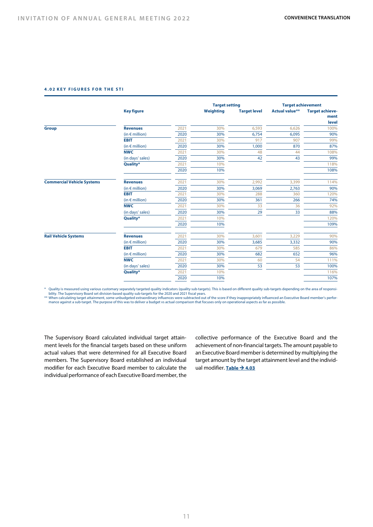#### **4.02 KEY FIGURES FOR THE STI**

|                                                 | <b>Key figure</b>       |      | Weighting                                                                                                                 | <b>Target level</b> | <b>Actual value**</b>                                                                                                            | <b>Target achieve-</b><br>ment<br>level |
|-------------------------------------------------|-------------------------|------|---------------------------------------------------------------------------------------------------------------------------|---------------------|----------------------------------------------------------------------------------------------------------------------------------|-----------------------------------------|
| <b>Group</b>                                    | <b>Revenues</b>         | 2021 | 30%                                                                                                                       | 6,593               | 6,626<br>6,095<br>907<br>870<br>44<br>43<br>3,399<br>2,763<br>360<br>266<br>36<br>33<br>3,229<br>3,332<br>585<br>652<br>54<br>53 | 100%                                    |
|                                                 | (in $\notin$ million)   | 2020 | 30%                                                                                                                       | 6,754               |                                                                                                                                  | 90%                                     |
|                                                 | <b>EBIT</b>             | 2021 | 30%                                                                                                                       | 917                 |                                                                                                                                  | 99%                                     |
|                                                 | (in $\epsilon$ million) | 2020 | 30%                                                                                                                       | 1,000               |                                                                                                                                  | 87%                                     |
|                                                 | <b>NWC</b>              | 2021 | 30%                                                                                                                       | 48                  |                                                                                                                                  | 108%                                    |
|                                                 | (in days' sales)        | 2020 | 30%                                                                                                                       | 42                  |                                                                                                                                  | 99%                                     |
|                                                 | Quality*                | 2021 | 10%                                                                                                                       |                     |                                                                                                                                  | 118%                                    |
|                                                 |                         | 2020 | 10%                                                                                                                       |                     |                                                                                                                                  | 108%                                    |
|                                                 | <b>Revenues</b>         | 2021 | 30%                                                                                                                       | 2,992               |                                                                                                                                  | 114%                                    |
|                                                 | (in $\epsilon$ million) | 2020 | 30%                                                                                                                       | 3,069               |                                                                                                                                  | 90%                                     |
|                                                 | <b>EBIT</b>             | 2021 | 30%                                                                                                                       | 288                 |                                                                                                                                  | 120%                                    |
|                                                 | (in $\epsilon$ million) | 2020 | 30%                                                                                                                       | 361                 |                                                                                                                                  | 74%                                     |
|                                                 | <b>NWC</b>              | 2021 | 30%                                                                                                                       | 33                  |                                                                                                                                  | 92%                                     |
|                                                 | (in days' sales)        | 2020 | 30%                                                                                                                       | 29                  |                                                                                                                                  | 88%                                     |
|                                                 | Quality*                | 2021 | 10%                                                                                                                       |                     |                                                                                                                                  | 120%                                    |
|                                                 |                         | 2020 | 10%                                                                                                                       |                     |                                                                                                                                  | 109%                                    |
| <b>Rail Vehicle Systems</b>                     | <b>Revenues</b>         | 2021 | <b>Target setting</b><br>30%<br>3,601<br>30%<br>3,685<br>30%<br>679<br>30%<br>682<br>30%<br>60<br>53<br>30%<br>10%<br>10% | 90%                 |                                                                                                                                  |                                         |
|                                                 | (in $\epsilon$ million) | 2020 |                                                                                                                           |                     |                                                                                                                                  | 90%                                     |
|                                                 | <b>EBIT</b>             | 2021 |                                                                                                                           |                     |                                                                                                                                  | 86%                                     |
| <b>Commercial Vehicle Systems</b><br><b>NWC</b> | (in $\epsilon$ million) | 2020 |                                                                                                                           |                     |                                                                                                                                  | 96%                                     |
|                                                 |                         | 2021 |                                                                                                                           |                     |                                                                                                                                  | 111%                                    |
|                                                 | (in days' sales)        | 2020 |                                                                                                                           |                     | <b>Target achievement</b>                                                                                                        | 100%                                    |
|                                                 | Quality*                | 2021 |                                                                                                                           |                     |                                                                                                                                  | 116%                                    |
|                                                 |                         | 2020 |                                                                                                                           |                     |                                                                                                                                  | 107%                                    |

\* Quality is measured using various customary separately targeted quality indicators (quality sub-targets). This is based on different quality sub-targets depending on the area of responsi-<br>bility. The Supervisory Board se

\*\* When calculating target attainment, some unbudgeted extraordinary influences were subtracted out of the score if they inappropriately influenced an Executive Board member's perfor-<br>mance against a sub-target. The purpos

The Supervisory Board calculated individual target attainment levels for the financial targets based on these uniform actual values that were determined for all Executive Board members. The Supervisory Board established an individual modifier for each Executive Board member to calculate the individual performance of each Executive Board member, the collective performance of the Executive Board and the achievement of non-financial targets. The amount payable to an Executive Board member is determined by multiplying the target amount by the target attainment level and the individtual modifier. **Table → 4.03**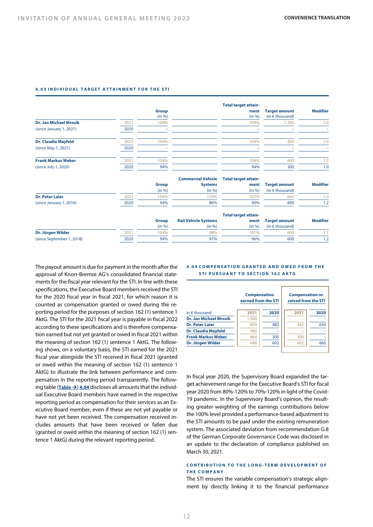#### **4.03 INDIVIDUAL TARGET ATTAINMENT FOR THE STI**

|                               |      |              |                             | <b>Total target attain-</b> |                          |                 |
|-------------------------------|------|--------------|-----------------------------|-----------------------------|--------------------------|-----------------|
|                               |      | <b>Group</b> |                             | ment                        | <b>Target amount</b>     | <b>Modifier</b> |
|                               |      | (in %)       |                             | (in %)                      | (in $\epsilon$ thousand) |                 |
| <b>Dr. Jan Michael Mrosik</b> | 2021 | 104%         |                             | 104%                        | 1,300                    | 1.0             |
| (since January 1, 2021)       | 2020 |              |                             |                             |                          |                 |
| <b>Dr. Claudia Mayfeld</b>    | 2021 | 104%         |                             | 104%                        | 400                      | 1.0             |
| (since May 1, 2021)           | 2020 |              |                             |                             |                          |                 |
| <b>Frank Markus Weber</b>     | 2021 | 104%         |                             | 104%                        | 600                      | 1.2             |
| (since July 1, 2020)          | 2020 | 94%          |                             | 94%                         | 300                      | 1.0             |
|                               |      |              | <b>Commercial Vehicle</b>   | <b>Total target attain-</b> |                          |                 |
|                               |      | <b>Group</b> | <b>Systems</b>              | ment                        | <b>Target amount</b>     | <b>Modifier</b> |
|                               |      | (in %)       | (in %)                      | (in %)                      | (in $\epsilon$ thousand) |                 |
| <b>Dr. Peter Laier</b>        | 2021 | 104%         | 110%                        | 107%                        | 600                      | 1.0             |
| (since January 1, 2016)       | 2020 | 94%          | 86%                         | 90%                         | 600                      | 1.2             |
|                               |      |              |                             | <b>Total target attain-</b> |                          |                 |
|                               |      | <b>Group</b> | <b>Rail Vehicle Systems</b> | ment                        | <b>Target amount</b>     | <b>Modifier</b> |
|                               |      | (in %)       | (in %)                      | (in %)                      | (in $\epsilon$ thousand) |                 |
| Dr. Jürgen Wilder             | 2021 | 104%         | 98%                         | 101%                        | 600                      | 1.1             |
| (since September 1, 2018)     | 2020 | 94%          | 97%                         | 96%                         | 600                      | 1.2             |

The payout amount is due for payment in the month after the approval of Knorr-Bremse AG's consolidated financial statements for the fiscal year relevant for the STI. In line with these specifications, the Executive Board members received the STI for the 2020 fiscal year in fiscal 2021, for which reason it is counted as compensation granted or owed during the reporting period for the purposes of section 162 (1) sentence 1 AktG. The STI for the 2021 fiscal year is payable in fiscal 2022 according to these specifications and is therefore compensation earned but not yet granted or owed in fiscal 2021 within the meaning of section 162 (1) sentence 1 AktG. The following shows, on a voluntary basis, the STI earned for the 2021 fiscal year alongside the STI received in fiscal 2021 (granted or owed within the meaning of section 162 (1) sentence 1 AktG) to illustrate the link between performance and compensation in the reporting period transparently. The following table  $(Table \rightarrow)$  4.04 discloses all amounts that the individual Executive Board members have earned in the respective reporting period as compensation for their services as an Executive Board member, even if these are not yet payable or have not yet been received. The compensation received includes amounts that have been received or fallen due (granted or owed within the meaning of section 162 (1) sentence 1 AktG) during the relevant reporting period.

#### **4.04 COMPENSATION GRANTED AND OWED FROM THE STI PURSUANT TO SECTION 162 AKTG**

|                            | <b>Compensation</b><br>earned from the STI |      | <b>Compensation re-</b><br>ceived from the STI |      |
|----------------------------|--------------------------------------------|------|------------------------------------------------|------|
| in $\epsilon$ thousand     | 2021                                       | 2020 | 2021                                           | 2020 |
| Dr. Jan Michael Mrosik     | 1,560                                      |      |                                                |      |
| <b>Dr. Peter Laier</b>     | 804                                        | 482  | 482                                            | 634  |
| <b>Dr. Claudia Mayfeld</b> | 480                                        |      |                                                |      |
| <b>Frank Markus Weber</b>  | 864                                        | 300  | 300                                            |      |
| Dr. Jürgen Wilder          | 686                                        | 602  | 602                                            | 660  |

In fiscal year 2020, the Supervisory Board expanded the target achievement range for the Executive Board's STI for fiscal year 2020 from 80%-120% to 70%-120% in light of the Covid-19 pandemic. In the Supervisory Board's opinion, the resulting greater weighting of the earnings contributions below the 100% level provided a performance-based adjustment to the STI amounts to be paid under the existing remuneration system. The associated deviation from recommendation G.8 of the German Corporate Governance Code was disclosed in an update to the declaration of compliance published on March 30, 2021.

#### **CONTRIBUTION TO THE LONG- TERM DEVELOPMENT OF THE COMPANY**

The STI ensures the variable compensation's strategic alignment by directly linking it to the financial performance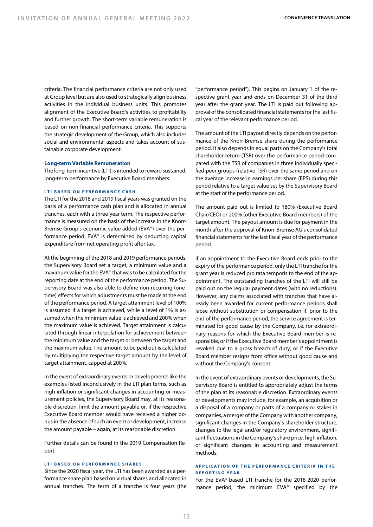criteria. The financial performance criteria are not only used at Group level but are also used to strategically align business activities in the individual business units. This promotes alignment of the Executive Board's activities to profitability and further growth. The short-term variable remuneration is based on non-financial performance criteria. This supports the strategic development of the Group, which also includes social and environmental aspects and takes account of sustainable corporate development.

#### **Long-term Variable Remuneration**

The long-term incentive (LTI) is intended to reward sustained, long-term performance by Executive Board members.

#### **LTI BASED ON PERFORMANCE CASH**

The LTI for the 2018 and 2019 fiscal years was granted on the basis of a performance cash plan and is allocated in annual tranches, each with a three-year term. The respective performance is measured on the basis of the increase in the Knorr-Bremse Group's economic value added (EVA®) over the performance period. EVA® is determined by deducting capital expenditure from net operating profit after tax.

At the beginning of the 2018 and 2019 performance periods, the Supervisory Board set a target, a minimum value and a maximum value for the EVA® that was to be calculated for the reporting date at the end of the performance period. The Supervisory Board was also able to define non-recurring (onetime) effects for which adjustments must be made at the end of the performance period. A target attainment level of 100% is assumed if a target is achieved, while a level of 1% is assumed when the minimum value is achieved and 200% when the maximum value is achieved. Target attainment is calculated through linear interpolation for achievement between the minimum value and the target or between the target and the maximum value. The amount to be paid out is calculated by multiplying the respective target amount by the level of target attainment, capped at 200%.

In the event of extraordinary events or developments like the examples listed inconclusively in the LTI plan terms, such as high inflation or significant changes in accounting or measurement policies, the Supervisory Board may, at its reasonable discretion, limit the amount payable or, if the respective Executive Board member would have received a higher bonus in the absence of such an event or development, increase the amount payable – again, at its reasonable discretion.

Further details can be found in the 2019 Compensation Report.

#### **LTI BASED ON PERFORMANCE SHARES**

Since the 2020 fiscal year, the LTI has been awarded as a performance share plan based on virtual shares and allocated in annual tranches. The term of a tranche is four years (the

"performance period"). This begins on January 1 of the respective grant year and ends on December 31 of the third year after the grant year. The LTI is paid out following approval of the consolidated financial statements for the last fiscal year of the relevant performance period.

The amount of the LTI payout directly depends on the performance of the Knorr-Bremse share during the performance period. It also depends in equal parts on the Company's total shareholder return (TSR) over the performance period compared with the TSR of companies in three individually specified peer groups (relative TSR) over the same period and on the average increase in earnings per share (EPS) during this period relative to a target value set by the Supervisory Board at the start of the performance period.

The amount paid out is limited to 180% (Executive Board Chair/CEO) or 200% (other Executive Board members) of the target amount. The payout amount is due for payment in the month after the approval of Knorr-Bremse AG's consolidated financial statements for the last fiscal year of the performance period.

If an appointment to the Executive Board ends prior to the expiry of the performance period, only the LTI tranche for the grant year is reduced pro rata temporis to the end of the appointment. The outstanding tranches of the LTI will still be paid out on the regular payment dates (with no reductions). However, any claims associated with tranches that have already been awarded for current performance periods shall lapse without substitution or compensation if, prior to the end of the performance period, the service agreement is terminated for good cause by the Company, i.e. for extraordinary reasons for which the Executive Board member is responsible, or if the Executive Board member's appointment is revoked due to a gross breach of duty, or if the Executive Board member resigns from office without good cause and without the Company's consent.

In the event of extraordinary events or developments, the Supervisory Board is entitled to appropriately adjust the terms of the plan at its reasonable discretion. Extraordinary events or developments may include, for example, an acquisition or a disposal of a company or parts of a company or stakes in companies, a merger of the Company with another company, significant changes in the Company's shareholder structure, changes to the legal and/or regulatory environment, significant fluctuations in the Company's share price, high inflation, or significant changes in accounting and measurement methods.

#### **APPLICATION OF THE PERFORMANCE CRITERIA IN THE REPORTING YEAR**

For the EVA®-based LTI tranche for the 2018-2020 performance period, the minimum EVA® specified by the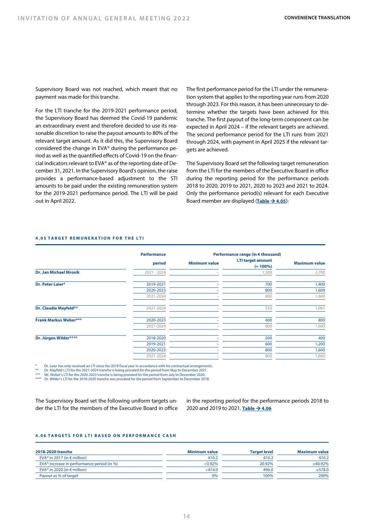Supervisory Board was not reached, which meant that no payment was made for this tranche.

For the LTI tranche for the 2019-2021 performance period, the Supervisory Board has deemed the Covid-19 pandemic an extraordinary event and therefore decided to use its reasonable discretion to raise the payout amounts to 80% of the relevant target amount. As it did this, the Supervisory Board considered the change in EVA® during the performance period as well as the quantified effects of Covid-19 on the financial indicators relevant to EVA® as of the reporting date of December 31, 2021. In the Supervisory Board's opinion, the raise provides a performance-based adjustment to the STI amounts to be paid under the existing remuneration system for the 2019-2021 performance period. The LTI will be paid out in April 2022.

The first performance period for the LTI under the remuneration system that applies to the reporting year runs from 2020 through 2023. For this reason, it has been unnecessary to determine whether the targets have been achieved for this tranche. The first payout of the long-term component can be expected in April 2024 – if the relevant targets are achieved. The second performance period for the LTI runs from 2021 through 2024, with payment in April 2025 if the relevant targets are achieved.

The Supervisory Board set the following target remuneration from the LTI for the members of the Executive Board in office during the reporting period for the performance periods 2018 to 2020, 2019 to 2021, 2020 to 2023 and 2021 to 2024. Only the performance period(s) relevant for each Executive Board member are displayed (Table  $\rightarrow$  4.05):

#### **4.05 TARGET REMUNERATION FOR THE LTI**

|                               | <b>Performance</b> |                      | Performance range (in € thousand)       |                      |
|-------------------------------|--------------------|----------------------|-----------------------------------------|----------------------|
|                               | period             | <b>Minimum value</b> | <b>LTI target amount</b><br>$(= 100\%)$ | <b>Maximum value</b> |
| <b>Dr. Jan Michael Mrosik</b> | $2021 - 2024$      |                      | 1,500                                   | 2,700                |
| Dr. Peter Laier*              | 2019-2021          |                      | 700                                     | 1,400                |
|                               | 2020-2023          |                      | 800                                     | 1,600                |
|                               | 2021-2024          |                      | 800                                     | 1,600                |
| Dr. Claudia Mayfeld**         | 2021-2024          |                      | 533                                     | 1,067                |
| <b>Frank Markus Weber***</b>  | 2020-2023          |                      | 400                                     | 800                  |
|                               | 2021-2024          |                      | 800                                     | 1,600                |
| Dr. Jürgen Wilder****         | 2018-2020          |                      | 200                                     | 400                  |
|                               | 2019-2021          |                      | 600                                     | 1,200                |
|                               | 2020-2023          |                      | 800                                     | 1,600                |
|                               | 2021-2024          |                      | 800                                     | 1,600                |
|                               |                    |                      |                                         |                      |

Dr. Laier has only received an LTI since the 2019 fiscal year in accordance with his contractual arrangements.

\*\* Dr. Mayfeld's LTI for the 2021-2024 tranche is being prorated for the period from May to December 2021. \*\*\* Mr. Weber's LTI for the 2020-2023 tranche is being prorated for the period from July to December 2020.

\*\*\*\* Dr. Wilder's LTI for the 2018-2020 tranche was prorated for the period from September to December 2018.

The Supervisory Board set the following uniform targets under the LTI for the members of the Executive Board in office

in the reporting period for the performance periods 2018 to 2020 and 2019 to 2021. Table  $\rightarrow$  4.06

#### **4.06 TARGETS FOR LTI BASED ON PERFORMANCE CASH**

| 2018-2020 tranche                                      | Minimum value | <b>Target level</b> | <b>Maximum value</b> |
|--------------------------------------------------------|---------------|---------------------|----------------------|
| EVA <sup>®</sup> in 2017 (in $\epsilon$ million)       | 410.2         | 410.2               | 410.2                |
| EVA <sup>®</sup> increase in performance period (in %) | $< 0.92\%$    | 20.92%              | ≥40.92%              |
| EVA <sup>®</sup> in 2020 (in $\epsilon$ million)       | $<$ 414.0     | 496.0               | >578.0               |
| Payout as % of target                                  | 0%            | 100%                | 200%                 |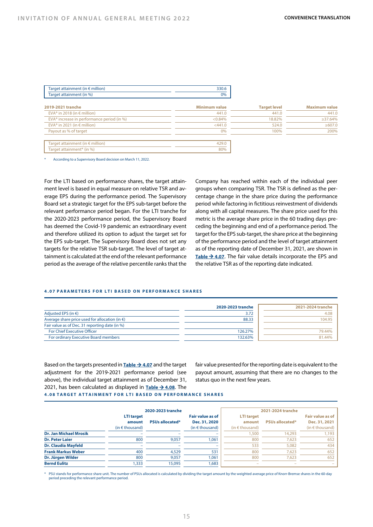| Target attainment (in $\epsilon$ million)              | 330.6                |                     |                      |
|--------------------------------------------------------|----------------------|---------------------|----------------------|
| Target attainment (in %)                               | 0%                   |                     |                      |
| 2019-2021 tranche                                      | <b>Minimum value</b> | <b>Target level</b> | <b>Maximum value</b> |
| EVA <sup>®</sup> in 2018 (in $\epsilon$ million)       | 441.0                | 441.0               | 441.0                |
| EVA <sup>®</sup> increase in performance period (in %) | $< 0.84\%$           | 18.82%              | $\geq$ 37.64%        |
| EVA <sup>®</sup> in 2021 (in $\epsilon$ million)       | < 441.0              | 524.0               | $\geq 607.0$         |
| Payout as % of target                                  | 0%                   | 100%                | 200%                 |
|                                                        |                      |                     |                      |
| Target attainment (in $\epsilon$ million)              | 429.0                |                     |                      |
| Target attainment* (in %)                              | 80%                  |                     |                      |

According to a Supervisory Board decision on March 11, 2022.

For the LTI based on performance shares, the target attainment level is based in equal measure on relative TSR and average EPS during the performance period. The Supervisory Board set a strategic target for the EPS sub-target before the relevant performance period began. For the LTI tranche for the 2020-2023 performance period, the Supervisory Board has deemed the Covid-19 pandemic an extraordinary event and therefore utilized its option to adjust the target set for the EPS sub-target. The Supervisory Board does not set any targets for the relative TSR sub-target. The level of target attainment is calculated at the end of the relevant performance period as the average of the relative percentile ranks that the Company has reached within each of the individual peer groups when comparing TSR. The TSR is defined as the percentage change in the share price during the performance period while factoring in fictitious reinvestment of dividends along with all capital measures. The share price used for this metric is the average share price in the 60 trading days preceding the beginning and end of a performance period. The target for the EPS sub-target, the share price at the beginning of the performance period and the level of target attainment as of the reporting date of December 31, 2021, are shown in Table  $\rightarrow$  4.07. The fair value details incorporate the EPS and the relative TSR as of the reporting date indicated.

#### **4.07 PARAMETERS FOR LTI BASED ON PERFORMANCE SHARES**

|                                                          | 2020-2023 tranche | 2021-2024 tranche |
|----------------------------------------------------------|-------------------|-------------------|
| Adjusted EPS (in $\epsilon$ )                            | 3.72              | 4.08              |
| Average share price used for allocation (in $\epsilon$ ) | 88.33             | 104.95            |
| Fair value as of Dec. 31 reporting date (in %)           |                   |                   |
| <b>For Chief Executive Officer</b>                       | 126.27%           | 79.44%            |
| For ordinary Executive Board members                     | 132.63%           | 81.44%            |

Based on the targets presented in **Table**  $\rightarrow$  **4.07** and the target adjustment for the 2019-2021 performance period (see above), the individual target attainment as of December 31, 2021, has been calculated as displayed in **Table**  $\rightarrow$  **4.08**. The fair value presented for the reporting date is equivalent to the payout amount, assuming that there are no changes to the status quo in the next few years.

#### **4.08 TARGET ATTAINMENT FOR LTI BASED ON PERFORMANCE SHARES**

|                            | 2020-2023 tranche        |                        |                     | 2021-2024 tranche        |                          |                          |  |  |
|----------------------------|--------------------------|------------------------|---------------------|--------------------------|--------------------------|--------------------------|--|--|
|                            | <b>LTI target</b>        |                        | Fair value as of    | <b>LTI target</b>        |                          | Fair value as of         |  |  |
|                            | amount                   | <b>PSUs allocated*</b> | Dec. 31, 2020       | amount                   | <b>PSUs allocated*</b>   | Dec. 31, 2021            |  |  |
|                            | (in $\epsilon$ thousand) |                        | $(in \in$ thousand) | $(in \in$ thousand)      |                          | (in $\epsilon$ thousand) |  |  |
| Dr. Jan Michael Mrosik     |                          |                        | -                   | .500                     | 14.293                   | 1,193                    |  |  |
| <b>Dr. Peter Laier</b>     | 800                      | 9.057                  | .061                | 800                      | 7.623                    | 652                      |  |  |
| <b>Dr. Claudia Mayfeld</b> | -                        |                        | -                   | 533                      | 5,082                    | 434                      |  |  |
| <b>Frank Markus Weber</b>  | 400                      | 4.529                  | 531                 | 800                      | 7.623                    | 652                      |  |  |
| Dr. Jürgen Wilder          | 800                      | 9.057                  | .061                | 800                      | 7.623                    | 652                      |  |  |
| <b>Bernd Eulitz</b>        | .333                     | 15,095                 | .683                | $\overline{\phantom{a}}$ | $\overline{\phantom{a}}$ |                          |  |  |

\* PSU stands for performance share unit. The number of PSUs allocated is calculated by dividing the target amount by the weighted average price of Knorr-Bremse shares in the 60-day period preceding the relevant performance period.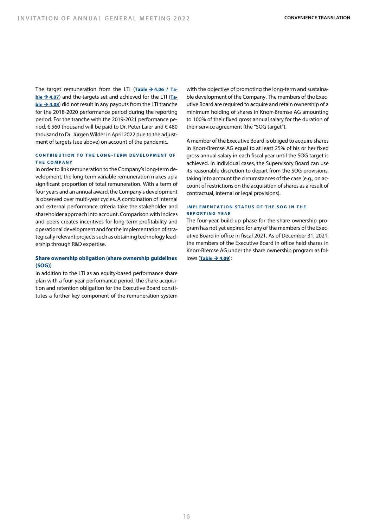The target remuneration from the LTI  $(Table \rightarrow 4.06 / Ta$ **ble**  $\rightarrow$  **4.07**) and the targets set and achieved for the LTI (Ta- $\underline{b}$ **le**  $\rightarrow$  4.08) did not result in any payouts from the LTI tranche for the 2018-2020 performance period during the reporting period. For the tranche with the 2019-2021 performance period, € 560 thousand will be paid to Dr. Peter Laier and € 480 thousand to Dr. Jürgen Wilder in April 2022 due to the adjustment of targets (see above) on account of the pandemic.

# **CONTRIBUTION TO THE LONG- TERM DEVELOPMENT OF THE COMPANY**

In order to link remuneration to the Company's long-term development, the long-term variable remuneration makes up a significant proportion of total remuneration. With a term of four years and an annual award, the Company's development is observed over multi-year cycles. A combination of internal and external performance criteria take the stakeholder and shareholder approach into account. Comparison with indices and peers creates incentives for long-term profitability and operational development and for the implementation of strategically relevant projects such as obtaining technology leadership through R&D expertise.

# **Share ownership obligation (share ownership guidelines (SOG))**

In addition to the LTI as an equity-based performance share plan with a four-year performance period, the share acquisition and retention obligation for the Executive Board constitutes a further key component of the remuneration system

with the objective of promoting the long-term and sustainable development of the Company. The members of the Executive Board are required to acquire and retain ownership of a minimum holding of shares in Knorr-Bremse AG amounting to 100% of their fixed gross annual salary for the duration of their service agreement (the "SOG target").

A member of the Executive Board is obliged to acquire shares in Knorr-Bremse AG equal to at least 25% of his or her fixed gross annual salary in each fiscal year until the SOG target is achieved. In individual cases, the Supervisory Board can use its reasonable discretion to depart from the SOG provisions, taking into account the circumstances of the case (e.g., on account of restrictions on the acquisition of shares as a result of contractual, internal or legal provisions).

#### **IMPLEMENTATION STATUS OF THE SOG IN THE REPORTING YEAR**

The four-year build-up phase for the share ownership program has not yet expired for any of the members of the Executive Board in office in fiscal 2021. As of December 31, 2021, the members of the Executive Board in office held shares in Knorr-Bremse AG under the share ownership program as follows (**Table → 4.09**):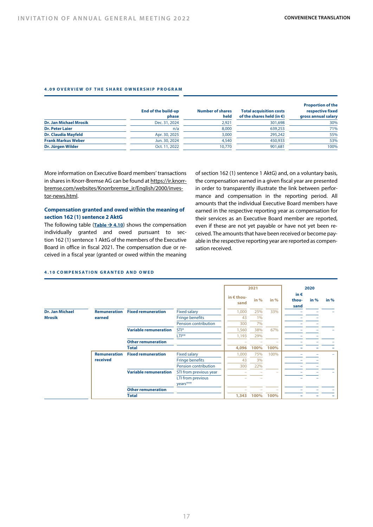#### **4.09 OVERVIEW OF THE SHARE OWNERSHIP PROGRAM**

|                               | End of the build-up<br>phase | <b>Number of shares</b><br>held | <b>Total acquisition costs</b><br>of the shares held (in $\epsilon$ ) | <b>Proportion of the</b><br>respective fixed<br>gross annual salary |
|-------------------------------|------------------------------|---------------------------------|-----------------------------------------------------------------------|---------------------------------------------------------------------|
| <b>Dr. Jan Michael Mrosik</b> | Dec. 31, 2024                | 2.921                           | 301,698                                                               | 30%                                                                 |
| <b>Dr. Peter Laier</b>        | n/a                          | 8.000                           | 639.253                                                               | 71%                                                                 |
| <b>Dr. Claudia Mayfeld</b>    | Apr. 30, 2025                | 3,000                           | 295.242                                                               | 55%                                                                 |
| <b>Frank Markus Weber</b>     | Jun. 30, 2024                | 4,540                           | 450.933                                                               | 53%                                                                 |
| Dr. Jürgen Wilder             | Oct. 11, 2022                | 10.770                          | 901.681                                                               | 100%                                                                |

More information on Executive Board members' transactions in shares in Knorr-Bremse AG can be found at https://ir.knorrbremse.com/websites/Knorrbremse\_ir/English/2000/investor-news.html.

# **Compensation granted and owed within the meaning of section 162 (1) sentence 2 AktG**

The following table  $(Table \rightarrow 4.10)$  shows the compensation individually granted and owed pursuant to section 162 (1) sentence 1 AktG of the members of the Executive Board in office in fiscal 2021. The compensation due or received in a fiscal year (granted or owed within the meaning of section 162 (1) sentence 1 AktG) and, on a voluntary basis, the compensation earned in a given fiscal year are presented in order to transparently illustrate the link between performance and compensation in the reporting period. All amounts that the individual Executive Board members have earned in the respective reporting year as compensation for their services as an Executive Board member are reported, even if these are not yet payable or have not yet been received. The amounts that have been received or become payable in the respective reporting year are reported as compensation received.

|                        |                     |                              |                             |                             | 2021   |                          |                                | 2020   |        |
|------------------------|---------------------|------------------------------|-----------------------------|-----------------------------|--------|--------------------------|--------------------------------|--------|--------|
|                        |                     |                              |                             | in $\epsilon$ thou-<br>sand | in $%$ | in $%$                   | in $\epsilon$<br>thou-<br>sand | in $%$ | in $%$ |
| <b>Dr. Jan Michael</b> | <b>Remuneration</b> | <b>Fixed remuneration</b>    | <b>Fixed salary</b>         | 1,000                       | 25%    | 33%                      |                                |        |        |
| <b>Mrosik</b>          | earned              |                              | <b>Fringe benefits</b>      | 43                          | 1%     |                          |                                |        |        |
|                        |                     |                              | <b>Pension contribution</b> | 300                         | 7%     |                          |                                |        |        |
|                        |                     | <b>Variable remuneration</b> | STI*                        | 1,560                       | 38%    | 67%                      |                                |        |        |
|                        |                     |                              | $LT**$                      | 1,193                       | 29%    |                          |                                |        |        |
|                        |                     | <b>Other remuneration</b>    |                             |                             |        |                          |                                |        |        |
|                        |                     | <b>Total</b>                 |                             | 4,096                       | 100%   | 100%                     |                                |        |        |
|                        | <b>Remuneration</b> | <b>Fixed remuneration</b>    | <b>Fixed salary</b>         | 1,000                       | 75%    | 100%                     |                                |        | $-$    |
|                        | received            |                              | <b>Fringe benefits</b>      | 43                          | 3%     |                          |                                |        |        |
|                        |                     |                              | <b>Pension contribution</b> | 300                         | 22%    |                          |                                |        |        |
|                        |                     | <b>Variable remuneration</b> | STI from previous year      |                             |        | $\overline{\phantom{0}}$ |                                |        |        |
|                        |                     |                              | LTI from previous           |                             |        |                          |                                |        |        |
|                        |                     |                              | years***                    |                             |        |                          |                                |        |        |
|                        |                     | <b>Other remuneration</b>    |                             |                             |        |                          |                                |        |        |
|                        |                     | <b>Total</b>                 |                             | 1,343                       | 100%   | 100%                     |                                |        |        |

#### **4.10 COMPENSATION GRANTED AND OWED**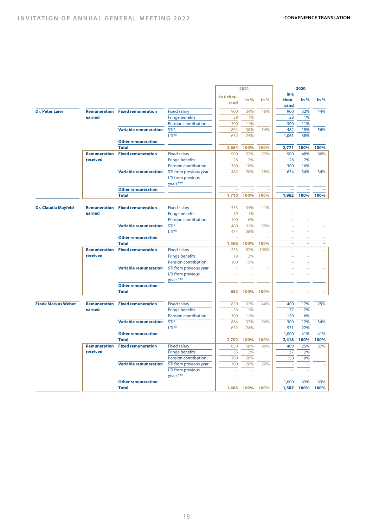|                            |                     |                                        |                                               | 2021                     |      | 2020   |                          |                          |      |
|----------------------------|---------------------|----------------------------------------|-----------------------------------------------|--------------------------|------|--------|--------------------------|--------------------------|------|
|                            |                     |                                        |                                               | in € thou-               |      |        | in $\epsilon$            |                          |      |
|                            |                     |                                        |                                               | sand                     | in % | in %   | thou-                    | in %                     | in % |
|                            |                     |                                        |                                               |                          |      |        | sand                     |                          |      |
| <b>Dr. Peter Laier</b>     |                     | <b>Remuneration</b> Fixed remuneration | <b>Fixed salary</b>                           | 900                      | 34%  | 46%    | 900                      | 32%                      | 44%  |
|                            | earned              |                                        | <b>Fringe benefits</b>                        | 28                       | 1%   |        | 28                       | 1%                       |      |
|                            |                     |                                        | Pension contribution                          | 300                      | 11%  |        | 300                      | 11%                      |      |
|                            |                     | <b>Variable remuneration</b>           | STI*                                          | 804                      | 30%  | 54%    | 482                      | 18%                      | 56%  |
|                            |                     |                                        | $LTI***$                                      | 652                      | 24%  |        | 1,061                    | 38%                      |      |
|                            |                     | <b>Other remuneration</b>              |                                               |                          |      |        |                          |                          |      |
|                            |                     | <b>Total</b>                           |                                               | 2,684                    | 100% | 100%   | 2,771                    | 100%                     | 100% |
|                            | <b>Remuneration</b> | <b>Fixed remuneration</b>              | <b>Fixed salary</b>                           | 900                      | 52%  | 72%    | 900                      | 48%                      | 66%  |
|                            | received            |                                        | <b>Fringe benefits</b>                        | 28                       | 2%   |        | 28                       | 2%                       |      |
|                            |                     |                                        | Pension contribution                          | 300                      | 18%  |        | 300                      | 16%                      |      |
|                            |                     | <b>Variable remuneration</b>           | STI from previous year                        | 482                      | 28%  | 28%    | 634                      | 34%                      | 34%  |
|                            |                     |                                        | LTI from previous                             |                          |      |        |                          |                          |      |
|                            |                     |                                        | years***                                      |                          |      |        |                          |                          |      |
|                            |                     | <b>Other remuneration</b>              |                                               |                          |      |        |                          |                          |      |
|                            |                     | <b>Total</b>                           |                                               | 1,710                    | 100% | 100%   | 1,862                    | 100%                     | 100% |
|                            |                     |                                        |                                               |                          |      |        |                          |                          |      |
| <b>Dr. Claudia Mayfeld</b> | Remuneration        | <b>Fixed remuneration</b>              |                                               | 533                      | 34%  | 41%    |                          |                          |      |
|                            | earned              |                                        | <b>Fixed salary</b>                           |                          |      |        |                          |                          |      |
|                            |                     |                                        | <b>Fringe benefits</b>                        | 19                       | 1%   |        |                          |                          |      |
|                            |                     |                                        | Pension contribution                          | 100                      | 6%   |        |                          |                          |      |
|                            |                     | <b>Variable remuneration</b>           | STI*                                          | 480                      | 31%  | 59%    |                          |                          |      |
|                            |                     |                                        | $LTI***$                                      | 434                      | 28%  |        | $\overline{\phantom{a}}$ | $\overline{\phantom{0}}$ |      |
|                            |                     | <b>Other remuneration</b>              |                                               | $\overline{\phantom{a}}$ |      |        |                          |                          |      |
|                            |                     | <b>Total</b>                           |                                               | 1,566                    | 100% | 100%   |                          |                          |      |
|                            |                     | <b>Remuneration</b> Fixed remuneration | <b>Fixed salary</b>                           | 533                      | 82%  | 100%   | $\overline{\phantom{a}}$ |                          |      |
|                            | received            |                                        | <b>Fringe benefits</b>                        | 19                       | 3%   |        | $\overline{\phantom{a}}$ |                          |      |
|                            |                     |                                        | Pension contribution                          | 100                      | 15%  |        |                          |                          |      |
|                            |                     | <b>Variable remuneration</b>           | STI from previous year                        | ÷                        |      |        |                          |                          |      |
|                            |                     |                                        | LTI from previous                             |                          |      |        |                          |                          |      |
|                            |                     |                                        | years***                                      |                          |      |        |                          |                          |      |
|                            |                     | <b>Other remuneration</b>              |                                               |                          |      |        |                          |                          |      |
|                            |                     | <b>Total</b>                           |                                               | 652                      | 100% | 100%   |                          |                          |      |
|                            |                     |                                        |                                               |                          |      |        |                          |                          |      |
| <b>Frank Markus Weber</b>  |                     | <b>Remuneration</b> Fixed remuneration | <b>Fixed salary</b>                           | 850                      | 32%  | 44%    | 400                      | 17%                      | 25%  |
|                            | earned              |                                        | <b>Fringe benefits</b>                        | 36                       | 1%   |        | 37                       | 2%                       |      |
|                            |                     |                                        | Pension contribution                          | 300                      | 11%  |        | 150                      | 6%                       |      |
|                            |                     | <b>Variable remuneration</b>           | STI*                                          | 864                      | 32%  | 56%    | 300                      | 12%                      | 34%  |
|                            |                     |                                        | $LT**$                                        | 652                      | 24%  |        | 531                      | 22%                      |      |
|                            |                     | <b>Other remuneration</b>              |                                               | $\sim$                   | ٠    | $\sim$ | 1,000                    | 41%                      | 41%  |
|                            |                     | <b>Total</b>                           |                                               | 2,702                    | 100% | 100%   | 2,418                    | 100%                     | 100% |
|                            | Remuneration        | <b>Fixed remuneration</b>              |                                               | 850                      | 58%  | 80%    | 400                      | 25%                      | 37%  |
|                            | received            |                                        | <b>Fixed salary</b><br><b>Fringe benefits</b> |                          | 2%   |        | 37                       | 2%                       |      |
|                            |                     |                                        |                                               | 36<br>300                | 20%  |        | 150                      | 10%                      |      |
|                            |                     |                                        | Pension contribution                          |                          |      |        |                          |                          |      |
|                            |                     | <b>Variable remuneration</b>           | STI from previous year                        | 300                      | 20%  | 20%    |                          |                          |      |
|                            |                     |                                        | LTI from previous                             |                          |      |        |                          |                          |      |
|                            |                     |                                        | years***                                      |                          |      |        |                          |                          |      |
|                            |                     | <b>Other remuneration</b>              |                                               |                          |      |        | 1,000                    | 63%                      | 63%  |
|                            |                     | <b>Total</b>                           |                                               | 1,486                    | 100% | 100%   | 1,587                    | 100%                     | 100% |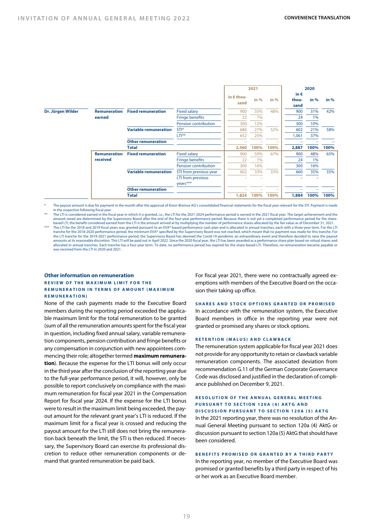|                   |                     |                              |                             | 2021                |        |        | 2020          |        |        |
|-------------------|---------------------|------------------------------|-----------------------------|---------------------|--------|--------|---------------|--------|--------|
|                   |                     |                              |                             | in $\epsilon$ thou- |        |        | in $\epsilon$ |        |        |
|                   |                     |                              |                             | sand                | in $%$ | in $%$ | thou-         | in $%$ | in $%$ |
|                   |                     |                              |                             |                     |        |        | sand          |        |        |
| Dr. Jürgen Wilder | <b>Remuneration</b> | <b>Fixed remuneration</b>    | <b>Fixed salary</b>         | 900                 | 35%    | 48%    | 900           | 31%    | 42%    |
|                   | earned              |                              | <b>Fringe benefits</b>      | 22                  | 1%     |        | 24            | 1%     |        |
|                   |                     |                              | <b>Pension contribution</b> | 300                 | 12%    |        | 300           | 10%    |        |
|                   |                     | <b>Variable remuneration</b> | STI*                        | 686                 | 27%    | 52%    | 602           | 21%    | 58%    |
|                   |                     |                              | $LTI***$                    | 652                 | 25%    |        | 1,061         | 37%    |        |
|                   |                     | <b>Other remuneration</b>    |                             |                     |        |        |               |        |        |
|                   |                     | Total                        |                             | 2,560               | 100%   | 100%   | 2,887         | 100%   | 100%   |
|                   | <b>Remuneration</b> | <b>Fixed remuneration</b>    | <b>Fixed salary</b>         | 900                 | 50%    | 67%    | 900           | 48%    | 65%    |
|                   | received            |                              | <b>Fringe benefits</b>      | 22                  | 1%     |        | 24            | 1%     |        |
|                   |                     |                              | Pension contribution        | 300                 | 16%    |        | 300           | 16%    |        |
|                   |                     | <b>Variable remuneration</b> | STI from previous year      | 602                 | 33%    | 33%    | 660           | 35%    | 35%    |
|                   |                     |                              | LTI from previous           |                     |        |        |               |        |        |
|                   |                     |                              | years***                    |                     |        |        |               |        |        |
|                   |                     | <b>Other remuneration</b>    |                             |                     |        |        |               |        |        |
|                   |                     | Total                        |                             | 1,824               | 100%   | 100%   | 1,884         | 100%   | 100%   |

The payout amount is due for payment in the month after the approval of Knorr-Bremse AG's consolidated financial statements for the fiscal year relevant for the STI. Payment is made in the respective following fiscal year.

The LTI is considered earned in the fiscal year in which it is granted, i.e., the LTI for the 2021-2024 performance period is earned in the 2021 fiscal year. The target achievement and the amount owed are determined by the Supervisory Board after the end of the four-year performance period. Because there is not yet a completed performance period for the share-<br>based LTI, the benefit considered earned from th

The LTI for the 2018 and 2019 fiscal years was granted pursuant to an EVA®-based performance cash plan and is allocated in annual tranches, each with a three-year term. For the LTI tranche for the 2018-2020 performance per the LTI tranche for the 2019-2021 performance period, the Supervisory Board has deemed the Covid-19 pandemic an extraordinary event and therefore decided to raise the payout<br>amounts at its reasonable discretion. This LTI w allocated in annual tranches. Each tranche has a four-year term. To date, no performance period has expired for the share-based LTI. Therefore, no remuneration became payable or was received from the LTI in 2020 and 2021.

#### **Other information on remuneration REVIEW OF THE MAXIMUM LIMIT FOR THE REMUNERATION IN TERMS OF AMOUNT (MAXIMUM REMUNERATION)**

None of the cash payments made to the Executive Board members during the reporting period exceeded the applicable maximum limit for the total remuneration to be granted (sum of all the remuneration amounts spent for the fiscal year in question, including fixed annual salary, variable remuneration components, pension contribution and fringe benefits or any compensation in conjunction with new appointees commencing their role; altogether termed **maximum remuneration**). Because the expense for the LTI bonus will only occur in the third year after the conclusion of the reporting year due to the full-year performance period, it will, however, only be possible to report conclusively on compliance with the maximum remuneration for fiscal year 2021 in the Compensation Report for fiscal year 2024. If the expense for the LTI bonus were to result in the maximum limit being exceeded, the payout amount for the relevant grant year's LTI is reduced. If the maximum limit for a fiscal year is crossed and reducing the payout amount for the LTI still does not bring the remuneration back beneath the limit, the STI is then reduced. If necessary, the Supervisory Board can exercise its professional discretion to reduce other remuneration components or demand that granted remuneration be paid back.

For fiscal year 2021, there were no contractually agreed exemptions with members of the Executive Board on the occasion their taking up office.

#### **SHARES AND STOCK OPTIONS GRANTED OR PROMISED**

In accordance with the remuneration system, the Executive Board members in office in the reporting year were not granted or promised any shares or stock options.

#### **RETENTION (MALUS) AND CLAWBACK**

The remuneration system applicable for fiscal year 2021 does not provide for any opportunity to retain or clawback variable remuneration components. The associated deviation from recommendation G.11 of the German Corporate Governance Code was disclosed and justified in the declaration of compliance published on December 9, 2021.

#### **RESOLUTION OF THE ANNUAL GENERAL MEETING PURSUANT TO SECTION 120A (4) AKTG AND DISCUSSION PURSUANT TO SECTION 120A (5) AKTG**

In the 2021 reporting year, there was no resolution of the Annual General Meeting pursuant to section 120a (4) AktG or discussion pursuant to section 120a (5) AktG that should have been considered.

#### **BENEFITS PROMISED OR GRANTED BY A THIRD PARTY**

In the reporting year, no member of the Executive Board was promised or granted benefits by a third party in respect of his or her work as an Executive Board member.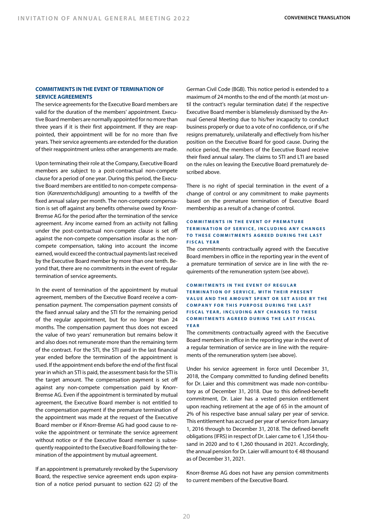#### **COMMITMENTS IN THE EVENT OF TERMINATION OF SERVICE AGREEMENTS**

The service agreements for the Executive Board members are valid for the duration of the members' appointment. Executive Board members are normally appointed for no more than three years if it is their first appointment. If they are reappointed, their appointment will be for no more than five years. Their service agreements are extended for the duration of their reappointment unless other arrangements are made.

Upon terminating their role at the Company, Executive Board members are subject to a post-contractual non-compete clause for a period of one year. During this period, the Executive Board members are entitled to non-compete compensation (*Karenzentschädigung*) amounting to a twelfth of the fixed annual salary per month. The non-compete compensation is set off against any benefits otherwise owed by Knorr-Bremse AG for the period after the termination of the service agreement. Any income earned from an activity not falling under the post-contractual non-compete clause is set off against the non-compete compensation insofar as the noncompete compensation, taking into account the income earned, would exceed the contractual payments last received by the Executive Board member by more than one tenth. Beyond that, there are no commitments in the event of regular termination of service agreements.

In the event of termination of the appointment by mutual agreement, members of the Executive Board receive a compensation payment. The compensation payment consists of the fixed annual salary and the STI for the remaining period of the regular appointment, but for no longer than 24 months. The compensation payment thus does not exceed the value of two years' remuneration but remains below it and also does not remunerate more than the remaining term of the contract. For the STI, the STI paid in the last financial year ended before the termination of the appointment is used. If the appointment ends before the end of the first fiscal year in which an STI is paid, the assessment basis for the STI is the target amount. The compensation payment is set off against any non-compete compensation paid by Knorr-Bremse AG. Even if the appointment is terminated by mutual agreement, the Executive Board member is not entitled to the compensation payment if the premature termination of the appointment was made at the request of the Executive Board member or if Knorr-Bremse AG had good cause to revoke the appointment or terminate the service agreement without notice or if the Executive Board member is subsequently reappointed to the Executive Board following the termination of the appointment by mutual agreement.

If an appointment is prematurely revoked by the Supervisory Board, the respective service agreement ends upon expiration of a notice period pursuant to section 622 (2) of the German Civil Code (BGB). This notice period is extended to a maximum of 24 months to the end of the month (at most until the contract's regular termination date) if the respective Executive Board member is blamelessly dismissed by the Annual General Meeting due to his/her incapacity to conduct business properly or due to a vote of no confidence, or if s/he resigns prematurely, unilaterally and effectively from his/her position on the Executive Board for good cause. During the notice period, the members of the Executive Board receive their fixed annual salary. The claims to STI and LTI are based on the rules on leaving the Executive Board prematurely described above.

There is no right of special termination in the event of a change of control or any commitment to make payments based on the premature termination of Executive Board membership as a result of a change of control.

#### **COMMITMENTS IN THE EVENT OF PREMATURE TERMINATION OF SERVICE, INCLUDING ANY CHANGES TO THESE COMMITMENTS AGREED DURING THE LAST FISCAL YEAR**

The commitments contractually agreed with the Executive Board members in office in the reporting year in the event of a premature termination of service are in line with the requirements of the remuneration system (see above).

#### **COMMITMENTS IN THE EVENT OF REGULAR TERMINATION OF SERVICE, WITH THEIR PRESENT VALUE AND THE AMOUNT SPENT OR SET ASIDE BY THE COMPANY FOR THIS PURPOSE DURING THE LAST FISCAL YEAR, INCLUDING ANY CHANGES TO THESE COMMITMENTS AGREED DURING THE LAST FISCAL YEAR**

The commitments contractually agreed with the Executive Board members in office in the reporting year in the event of a regular termination of service are in line with the requirements of the remuneration system (see above).

Under his service agreement in force until December 31, 2018, the Company committed to funding defined benefits for Dr. Laier and this commitment was made non-contributory as of December 31, 2018. Due to this defined-benefit commitment, Dr. Laier has a vested pension entitlement upon reaching retirement at the age of 65 in the amount of 2% of his respective base annual salary per year of service. This entitlement has accrued per year of service from January 1, 2016 through to December 31, 2018. The defined-benefit obligations (IFRS) in respect of Dr. Laier came to € 1,354 thousand in 2020 and to € 1,260 thousand in 2021. Accordingly, the annual pension for Dr. Laier will amount to € 48 thousand as of December 31, 2021.

Knorr-Bremse AG does not have any pension commitments to current members of the Executive Board.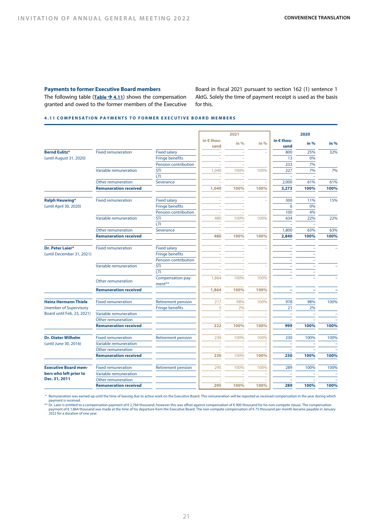#### **Payments to former Executive Board members**

The following table  $(Table \rightarrow 4.11)$  shows the compensation granted and owed to the former members of the Executive Board in fiscal 2021 pursuant to section 162 (1) sentence 1 AktG. Solely the time of payment receipt is used as the basis for this.

# **4.11 COMPENSATION PAYMENTS TO FORMER EXECUTIVE BOARD MEMBERS**

|                             |                              |                             |                    | 2021 |                          |                          | 2020 |      |
|-----------------------------|------------------------------|-----------------------------|--------------------|------|--------------------------|--------------------------|------|------|
|                             |                              |                             | in € thou-<br>sand | in % | in %                     | in € thou-<br>sand       | in % | in % |
| <b>Bernd Eulitz*</b>        | <b>Fixed remuneration</b>    | <b>Fixed salary</b>         |                    |      |                          | 800                      | 25%  | 32%  |
| (until August 31, 2020)     |                              | <b>Fringe benefits</b>      |                    |      |                          | 13                       | 0%   |      |
|                             |                              | Pension contribution        |                    |      |                          | 233                      | 7%   |      |
|                             | Variable remuneration        | <b>STI</b>                  | 1,040              | 100% | 100%                     | 227                      | 7%   | 7%   |
|                             |                              | LTI.                        |                    |      |                          |                          |      |      |
|                             | Other remuneration           | Severance                   |                    |      | $\overline{\phantom{a}}$ | 2,000                    | 61%  | 61%  |
|                             | <b>Remuneration received</b> |                             | 1,040              | 100% | 100%                     | 3,273                    | 100% | 100% |
|                             |                              |                             |                    |      |                          |                          |      |      |
| <b>Ralph Heuwing*</b>       | <b>Fixed remuneration</b>    | <b>Fixed salary</b>         |                    |      |                          | 300                      | 11%  | 15%  |
| (until April 30, 2020)      |                              | <b>Fringe benefits</b>      |                    |      |                          | 6                        | 0%   |      |
|                             |                              | <b>Pension contribution</b> |                    |      |                          | 100                      | 4%   |      |
|                             | Variable remuneration        | <b>STI</b>                  | 480                | 100% | 100%                     | 634                      | 22%  | 22%  |
|                             |                              | LTI.                        |                    | ÷    |                          |                          | ÷,   |      |
|                             | Other remuneration           | Severance                   |                    |      | $\overline{\phantom{a}}$ | 1,800                    | 63%  | 63%  |
|                             | <b>Remuneration received</b> |                             | 480                | 100% | 100%                     | 2,840                    | 100% | 100% |
| <b>Dr. Peter Laier*</b>     | <b>Fixed remuneration</b>    | <b>Fixed salary</b>         |                    |      |                          |                          |      |      |
| (until December 31, 2021)   |                              | <b>Fringe benefits</b>      |                    |      |                          |                          |      |      |
|                             |                              | Pension contribution        |                    |      |                          |                          |      |      |
|                             | Variable remuneration        | <b>STI</b>                  |                    |      |                          |                          |      |      |
|                             |                              | LTI.                        |                    |      |                          |                          |      |      |
|                             | Other remuneration           | Compensation pay-<br>ment** | 1,864              | 100% | 100%                     |                          |      |      |
|                             | <b>Remuneration received</b> |                             | 1,864              | 100% | 100%                     | $\overline{\phantom{a}}$ | ٠    |      |
| <b>Heinz Hermann Thiele</b> | <b>Fixed remuneration</b>    | <b>Retirement pension</b>   | 217                | 98%  | 100%                     | 978                      | 98%  | 100% |
| (member of Supervisory      |                              | <b>Fringe benefits</b>      | 5                  | 2%   |                          | 21                       | 2%   |      |
| Board until Feb. 23, 2021)  | Variable remuneration        |                             |                    | ÷    | ÷                        |                          |      |      |
|                             | Other remuneration           |                             |                    |      |                          |                          |      |      |
|                             | <b>Remuneration received</b> |                             | 222                | 100% | 100%                     | 999                      | 100% | 100% |
|                             |                              |                             |                    |      |                          |                          |      |      |
| <b>Dr. Dieter Wilhelm</b>   | <b>Fixed remuneration</b>    | <b>Retirement pension</b>   | 230                | 100% | 100%                     | 230                      | 100% | 100% |
| (until June 30, 2016)       | Variable remuneration        |                             |                    |      |                          |                          |      |      |
|                             | <b>Other remuneration</b>    |                             |                    |      |                          |                          |      |      |
|                             | <b>Remuneration received</b> |                             | 230                | 100% | 100%                     | 230                      | 100% | 100% |
| <b>Executive Board mem-</b> | <b>Fixed remuneration</b>    | <b>Retirement pension</b>   | 295                | 100% | 100%                     | 289                      | 100% | 100% |
| bers who left prior to      | Variable remuneration        |                             |                    |      |                          |                          |      |      |
| Dec. 31, 2011               | <b>Other remuneration</b>    |                             |                    |      |                          |                          |      |      |
|                             | <b>Remuneration received</b> |                             | 295                | 100% | 100%                     | 289                      | 100% | 100% |

\* Remuneration was earned up until the time of leaving due to active work on the Executive Board. This remuneration will be reported as received compensation in the year during which payment is received.

\*\* Dr. Laier is entitled to a compensation payment of € 2,764 thousand, however this was offset against compensation of € 900 thousand for his non-compete clause. The compensation<br>payment of € 1,864 thousand was made at t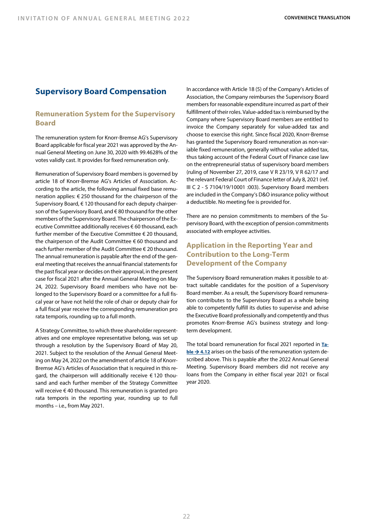# **Supervisory Board Compensation**

# **Remuneration System for the Supervisory Board**

The remuneration system for Knorr-Bremse AG's Supervisory Board applicable for fiscal year 2021 was approved by the Annual General Meeting on June 30, 2020 with 99.4628% of the votes validly cast. It provides for fixed remuneration only.

Remuneration of Supervisory Board members is governed by article 18 of Knorr-Bremse AG's Articles of Association. According to the article, the following annual fixed base remuneration applies: € 250 thousand for the chairperson of the Supervisory Board, € 120 thousand for each deputy chairperson of the Supervisory Board, and € 80 thousand for the other members of the Supervisory Board. The chairperson of the Executive Committee additionally receives € 60 thousand, each further member of the Executive Committee € 20 thousand, the chairperson of the Audit Committee € 60 thousand and each further member of the Audit Committee € 20 thousand. The annual remuneration is payable after the end of the general meeting that receives the annual financial statements for the past fiscal year or decides on their approval, in the present case for fiscal 2021 after the Annual General Meeting on May 24, 2022. Supervisory Board members who have not belonged to the Supervisory Board or a committee for a full fiscal year or have not held the role of chair or deputy chair for a full fiscal year receive the corresponding remuneration pro rata temporis, rounding up to a full month.

A Strategy Committee, to which three shareholder representatives and one employee representative belong, was set up through a resolution by the Supervisory Board of May 20, 2021. Subject to the resolution of the Annual General Meeting on May 24, 2022 on the amendment of article 18 of Knorr-Bremse AG's Articles of Association that is required in this regard, the chairperson will additionally receive € 120 thousand and each further member of the Strategy Committee will receive € 40 thousand. This remuneration is granted pro rata temporis in the reporting year, rounding up to full months – i.e., from May 2021.

In accordance with Article 18 (5) of the Company's Articles of Association, the Company reimburses the Supervisory Board members for reasonable expenditure incurred as part of their fulfillment of their roles. Value-added tax is reimbursed by the Company where Supervisory Board members are entitled to invoice the Company separately for value-added tax and choose to exercise this right. Since fiscal 2020, Knorr-Bremse has granted the Supervisory Board remuneration as non-variable fixed remuneration, generally without value added tax, thus taking account of the Federal Court of Finance case law on the entrepreneurial status of supervisory board members (ruling of November 27, 2019, case V R 23/19, V R 62/17 and the relevant Federal Court of Finance letter of July 8, 2021 (ref. III C 2 - S 7104/19/10001 :003). Supervisory Board members are included in the Company's D&O insurance policy without a deductible. No meeting fee is provided for.

There are no pension commitments to members of the Supervisory Board, with the exception of pension commitments associated with employee activities.

# **Application in the Reporting Year and Contribution to the Long-Term Development of the Company**

The Supervisory Board remuneration makes it possible to attract suitable candidates for the position of a Supervisory Board member. As a result, the Supervisory Board remuneration contributes to the Supervisory Board as a whole being able to competently fulfill its duties to supervise and advise the Executive Board professionally and competently and thus promotes Knorr-Bremse AG's business strategy and longterm development.

The total board remuneration for fiscal 2021 reported in **Table**  $\rightarrow$  4.12 arises on the basis of the remuneration system described above. This is payable after the 2022 Annual General Meeting. Supervisory Board members did not receive any loans from the Company in either fiscal year 2021 or fiscal year 2020.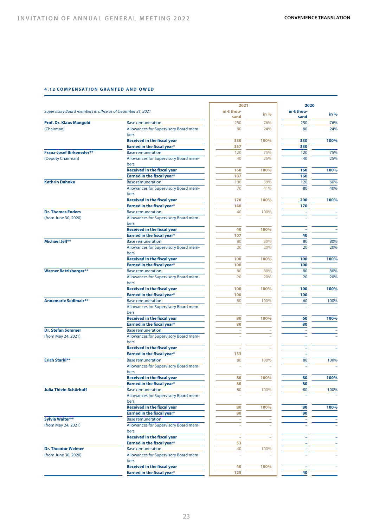#### **4.12 COMPENSATION GRANTED AND OWED**

|                                                             |                                                                   | 2021       |        | 2020                |      |
|-------------------------------------------------------------|-------------------------------------------------------------------|------------|--------|---------------------|------|
| Supervisory Board members in office as of December 31, 2021 |                                                                   | in € thou- |        | in $\epsilon$ thou- |      |
|                                                             |                                                                   | sand       | in $%$ | sand                | in % |
| <b>Prof. Dr. Klaus Mangold</b>                              | <b>Base remuneration</b>                                          | 250        | 76%    | 250                 | 76%  |
| (Chairman)                                                  | Allowances for Supervisory Board mem-<br>bers                     | 80         | 24%    | 80                  | 24%  |
|                                                             | <b>Received in the fiscal year</b>                                | 330        | 100%   | 330                 | 100% |
|                                                             | <b>Earned in the fiscal year*</b>                                 | 357        |        | 330                 |      |
| <b>Franz-Josef Birkeneder**</b>                             | <b>Base remuneration</b>                                          | 120        | 75%    | 120                 | 75%  |
| (Deputy Chairman)                                           | Allowances for Supervisory Board mem-                             | 40         | 25%    | 40                  | 25%  |
|                                                             | bers                                                              |            |        |                     |      |
|                                                             | <b>Received in the fiscal year</b>                                | 160        | 100%   | 160                 | 100% |
|                                                             | <b>Earned in the fiscal year*</b>                                 | 187        |        | 160                 |      |
| <b>Kathrin Dahnke</b>                                       | <b>Base remuneration</b>                                          | 100        | 59%    | 120                 | 60%  |
|                                                             | Allowances for Supervisory Board mem-<br>bers                     | 70         | 41%    | 80                  | 40%  |
|                                                             | <b>Received in the fiscal year</b>                                | 170        | 100%   | 200                 | 100% |
|                                                             | <b>Earned in the fiscal year*</b>                                 | 140        |        | 170                 |      |
| <b>Dr. Thomas Enders</b>                                    | <b>Base remuneration</b>                                          | 40         | 100%   |                     |      |
| (from June 30, 2020)                                        | Allowances for Supervisory Board mem-                             |            |        |                     |      |
|                                                             | bers                                                              |            |        |                     |      |
|                                                             | <b>Received in the fiscal year</b>                                | 40         | 100%   |                     |      |
|                                                             | <b>Earned in the fiscal year*</b>                                 | 107        |        | 40                  |      |
| Michael Jell**                                              | <b>Base remuneration</b>                                          | 80         | 80%    | 80                  | 80%  |
|                                                             | Allowances for Supervisory Board mem-                             | 20         | 20%    | 20                  | 20%  |
|                                                             | bers                                                              |            |        |                     |      |
|                                                             | <b>Received in the fiscal year</b>                                | 100        | 100%   | 100                 | 100% |
|                                                             | <b>Earned in the fiscal year*</b>                                 | 100        |        | 100                 |      |
| <b>Werner Ratzisberger**</b>                                | <b>Base remuneration</b>                                          | 80         | 80%    | 80                  | 80%  |
|                                                             | Allowances for Supervisory Board mem-<br>bers                     | 20         | 20%    | 20                  | 20%  |
|                                                             | <b>Received in the fiscal year</b>                                | 100        | 100%   | 100                 | 100% |
|                                                             | Earned in the fiscal year*                                        | 100        |        | 100                 |      |
| <b>Annemarie Sedlmair**</b>                                 | <b>Base remuneration</b>                                          | 80         | 100%   | 60                  | 100% |
|                                                             | Allowances for Supervisory Board mem-<br>bers                     |            |        |                     |      |
|                                                             | <b>Received in the fiscal year</b>                                | 80         | 100%   | 60                  | 100% |
|                                                             | <b>Earned in the fiscal year*</b>                                 | 80         |        | 80                  |      |
| <b>Dr. Stefan Sommer</b>                                    | <b>Base remuneration</b>                                          |            |        |                     |      |
| (from May 24, 2021)                                         | Allowances for Supervisory Board mem-                             |            |        |                     |      |
|                                                             | bers                                                              |            |        |                     |      |
|                                                             | <b>Received in the fiscal year</b>                                |            |        |                     |      |
|                                                             | Earned in the fiscal year*                                        | 133        |        |                     |      |
| <b>Erich Starkl**</b>                                       | <b>Base remuneration</b><br>Allowances for Supervisory Board mem- | 80         | 100%   | 80                  | 100% |
|                                                             |                                                                   |            |        |                     |      |
|                                                             | bers                                                              |            |        |                     | 100% |
|                                                             | <b>Received in the fiscal year</b>                                | 80         | 100%   | 80                  |      |
|                                                             | Earned in the fiscal year*                                        | 80         |        | 80                  |      |
| Julia Thiele-Schürhoff                                      | <b>Base remuneration</b><br>Allowances for Supervisory Board mem- | 80         | 100%   | 80                  | 100% |
|                                                             | bers                                                              |            |        |                     |      |
|                                                             | <b>Received in the fiscal year</b>                                | 80         | 100%   | 80                  | 100% |
|                                                             | Earned in the fiscal year*                                        | 80         |        | 80                  |      |
| Sylvia Walter**                                             | <b>Base remuneration</b>                                          |            |        |                     |      |
|                                                             | Allowances for Supervisory Board mem-                             |            |        |                     |      |
| (from May 24, 2021)                                         | bers                                                              |            |        |                     |      |
|                                                             | <b>Received in the fiscal year</b>                                | ٠          |        |                     |      |
|                                                             | <b>Earned in the fiscal year*</b>                                 | 53         |        |                     |      |
| <b>Dr. Theodor Weimer</b>                                   | <b>Base remuneration</b>                                          | 40         | 100%   |                     |      |
| (from June 30, 2020)                                        | Allowances for Supervisory Board mem-<br>bers                     |            |        |                     |      |
|                                                             | <b>Received in the fiscal year</b>                                | 40         | 100%   |                     |      |
|                                                             | Earned in the fiscal year*                                        | 125        |        | 40                  |      |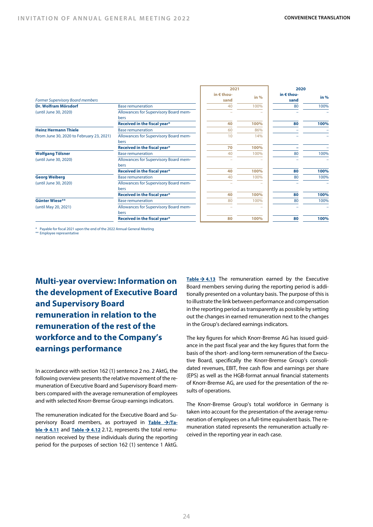|                                           |                                               | 2021   |                    | 2020   |      |
|-------------------------------------------|-----------------------------------------------|--------|--------------------|--------|------|
| <b>Former Supervisory Board members</b>   | in € thou-<br>sand                            | in $%$ | in € thou-<br>sand | in $%$ |      |
| Dr. Wolfram Mörsdorf                      | <b>Base remuneration</b>                      | 40     | 100%               | 80     | 100% |
| (until June 30, 2020)                     | Allowances for Supervisory Board mem-         |        |                    |        |      |
|                                           | bers                                          |        |                    |        |      |
|                                           | Received in the fiscal year*                  | 40     | 100%               | 80     | 100% |
| <b>Heinz Hermann Thiele</b>               | <b>Base remuneration</b>                      | 60     | 86%                |        |      |
| (from June 30, 2020 to February 23, 2021) | Allowances for Supervisory Board mem-<br>bers | 10     | 14%                |        |      |
|                                           | Received in the fiscal year*                  | 70     | 100%               |        |      |
| <b>Wolfgang Tölsner</b>                   | <b>Base remuneration</b>                      | 40     | 100%               | 80     | 100% |
| (until June 30, 2020)                     | Allowances for Supervisory Board mem-<br>bers |        |                    |        |      |
|                                           | Received in the fiscal year*                  | 40     | 100%               | 80     | 100% |
| <b>Georg Weiberg</b>                      | <b>Base remuneration</b>                      | 40     | 100%               | 80     | 100% |
| (until June 30, 2020)                     | Allowances for Supervisory Board mem-         |        |                    |        |      |
|                                           | bers                                          |        |                    |        |      |
|                                           | Received in the fiscal year*                  | 40     | 100%               | 80     | 100% |
| Günter Wiese**                            | <b>Base remuneration</b>                      | 80     | 100%               | 80     | 100% |
| (until May 20, 2021)                      | Allowances for Supervisory Board mem-         |        |                    |        |      |
|                                           | bers                                          |        |                    |        |      |
|                                           | Received in the fiscal year*                  | 80     | 100%               | 80     | 100% |
|                                           |                                               |        |                    |        |      |

\* Payable for fiscal 2021 upon the end of the 2022 Annual General Meeting \*\* Employee representative

**Multi-year overview: Information on the development of Executive Board and Supervisory Board remuneration in relation to the remuneration of the rest of the workforce and to the Company's earnings performance**

In accordance with section 162 (1) sentence 2 no. 2 AktG, the following overview presents the relative movement of the remuneration of Executive Board and Supervisory Board members compared with the average remuneration of employees and with selected Knorr-Bremse Group earnings indicators.

The remuneration indicated for the Executive Board and Supervisory Board members, as portrayed in **Table >/Ta-** $ble  $\rightarrow$  4.11$  and **Table**  $\rightarrow$  4.12 2.12, represents the total remu-</u> neration received by these individuals during the reporting period for the purposes of section 162 (1) sentence 1 AktG. **Table**  $\rightarrow$  **4.13** The remuneration earned by the Executive Board members serving during the reporting period is additionally presented on a voluntary basis. The purpose of this is to illustrate the link between performance and compensation in the reporting period as transparently as possible by setting out the changes in earned remuneration next to the changes in the Group's declared earnings indicators.

The key figures for which Knorr-Bremse AG has issued guidance in the past fiscal year and the key figures that form the basis of the short- and long-term remuneration of the Executive Board, specifically the Knorr-Bremse Group's consolidated revenues, EBIT, free cash flow and earnings per share (EPS) as well as the HGB-format annual financial statements of Knorr-Bremse AG, are used for the presentation of the results of operations.

The Knorr-Bremse Group's total workforce in Germany is taken into account for the presentation of the average remuneration of employees on a full-time equivalent basis. The remuneration stated represents the remuneration actually received in the reporting year in each case.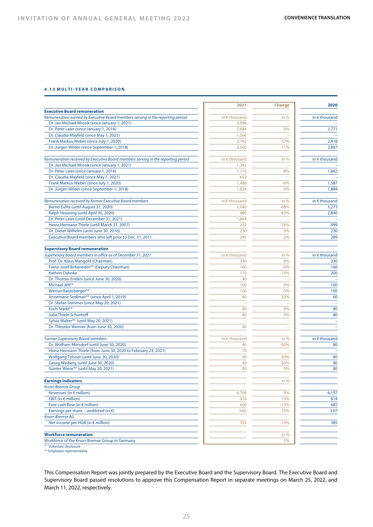#### **4.13 MULTI - YEAR COMPARISON**

|                                                                                  | 2021                   | <b>Change</b>            | 2020                     |
|----------------------------------------------------------------------------------|------------------------|--------------------------|--------------------------|
| <b>Executive Board remuneration</b>                                              |                        |                          |                          |
| Remuneration earned by Executive Board members serving in the reporting period   | in $\epsilon$ thousand | in %                     | in $\epsilon$ thousand   |
| Dr. Jan Michael Mrosik (since January 1, 2021)                                   | 4,096                  |                          |                          |
| Dr. Peter Laier (since January 1, 2016)                                          | 2,684                  | $-3%$                    | 2,771                    |
| Dr. Claudia Mayfeld (since May 1, 2021)                                          | 1,566                  | ÷,                       |                          |
| Frank Markus Weber (since July 1, 2020)                                          | 2,702                  | 12%                      | 2,418                    |
| Dr. Jürgen Wilder (since September 1, 2018)                                      | 2,560                  | $-11%$                   | 2.887                    |
| Remuneration received by Executive Board members serving in the reporting period | in $\epsilon$ thousand | in %                     | in $\epsilon$ thousand   |
| Dr. Jan Michael Mrosik (since January 1, 2021)                                   | 1,343                  |                          |                          |
| Dr. Peter Laier (since January 1, 2016)                                          | 1,710                  | $-8%$                    | 1,862                    |
| Dr. Claudia Mayfeld (since May 1, 2021)                                          | 652                    |                          |                          |
| Frank Markus Weber (since July 1, 2020)                                          | 1,486                  | $-6%$                    | 1,587                    |
| Dr. Jürgen Wilder (since September 1, 2018)                                      | 1,824                  | $-3%$                    | 1,884                    |
| Remuneration received by former Executive Board members                          | in $\epsilon$ thousand | in %                     | in $\epsilon$ thousand   |
| Bernd Eulitz (until August 31, 2020)                                             | 1,040                  | $-68%$                   | 3,273                    |
|                                                                                  |                        |                          | 2,840                    |
| Ralph Heuwing (until April 30, 2020)                                             | 480                    | $-83%$                   |                          |
| Dr. Peter Laier (until December 31, 2021)                                        | 1,864                  |                          |                          |
| Heinz Hermann Thiele (until March 31, 2007)                                      | 222                    | $-78%$                   | 999                      |
| Dr. Dieter Wilhelm (until June 30, 2016)                                         | 230                    | 0%                       | 230                      |
| Executive Board members who left prior to Dec. 31, 2011                          | 295                    | 2%                       | 289                      |
| <b>Supervisory Board remuneration</b>                                            |                        |                          |                          |
| Supervisory Board members in office as of December 31, 2021                      | in $\epsilon$ thousand | in $%$                   | in $\epsilon$ thousand   |
| Prof. Dr. Klaus Mangold (Chairman)                                               | 330                    | 0%                       | 330                      |
| Franz-Josef Birkeneder** (Deputy Chairman)                                       | 160                    | 0%                       | 160                      |
| <b>Kathrin Dahnke</b>                                                            | 170                    | $-15%$                   | 200                      |
| Dr. Thomas Enders (since June 30, 2020)                                          | 40                     | ÷                        |                          |
| Michael Jell**                                                                   | 100                    | 0%                       | 100                      |
| Werner Ratzisberger**                                                            | 100                    | 0%                       | 100                      |
| Annemarie Sedlmair** (since April 1, 2019)                                       | 80                     | 33%                      | 60                       |
| Dr. Stefan Sommer (since May 20, 2021)                                           |                        |                          |                          |
| Erich Starkl**                                                                   | 80                     | 0%                       | 80                       |
| Julia Thiele-Schürhoff                                                           | 80                     | 0%                       | 80                       |
| Sylvia Walter** (until May 20, 2021)                                             |                        | ÷                        |                          |
| Dr. Theodor Weimer (from June 30, 2020)                                          | 40                     | $\overline{\phantom{a}}$ | $\overline{\phantom{a}}$ |
| <b>Former Supervisory Board members</b>                                          | in $\epsilon$ thousand | in $%$                   | in $\epsilon$ thousand   |
| Dr. Wolfram Mörsdorf (until June 30, 2020)                                       | 40                     | $-50%$                   | 80                       |
| Heinz Hermann Thiele (from June 30, 2020 to February 23, 2021)                   | 70                     |                          |                          |
| Wolfgang Tölsner (until June 30, 2020)                                           | 40                     | $-50%$                   | 80                       |
| Georg Weiberg (until June 30, 2020)                                              | 40                     | $-50%$                   | 80                       |
| Günter Wiese** (until May 20, 2021)                                              | 80                     | 0%                       | 80                       |
|                                                                                  |                        |                          |                          |
| <b>Earnings indicators</b><br><b>Knorr-Bremse Group</b>                          |                        | in %                     |                          |
| Revenues (in € million)                                                          | 6,706                  | 9%                       | 6,157                    |
| EBIT (in $\epsilon$ million)                                                     | 916                    | 13%                      | 814                      |
| Free cash flow (in $\epsilon$ million)                                           | 600                    | $-13%$                   | 687                      |
| Earnings per share – undiluted (in $\epsilon$ )                                  | 3.85                   | 25%                      | 3.07                     |
| Knorr-Bremse AG                                                                  |                        |                          |                          |
| Net income per HGB (in € million)                                                | 335                    | $-13%$                   | 385                      |
| <b>Workforce remuneration</b>                                                    |                        | in $%$                   |                          |
| Workforce of the Knorr-Bremse Group in Germany                                   |                        | 2%                       |                          |
|                                                                                  |                        |                          |                          |

\* Voluntary disclosure \*\* Employee representative

This Compensation Report was jointly prepared by the Executive Board and the Supervisory Board. The Executive Board and Supervisory Board passed resolutions to approve this Compensation Report in separate meetings on March 25, 2022, and March 11, 2022, respectively.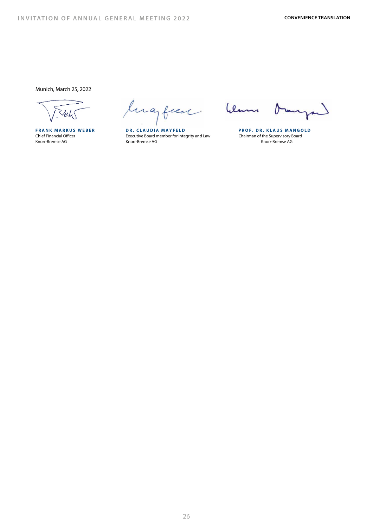Munich, March 25, 2022

lugben

**FRANK MARKUS WEBER DR. CLAUDIA MAYFELD PROF. DR. KLAUS MANGOLD** Chief Financial Officer Executive Executive Board member for Integrity and Law Chairman of the Supervisory Board member for Integrity and Law Chairman of the Supervisory Board member for Integrity and Law Chairman of the S Knorr-Bremse AG

hlams  $\delta$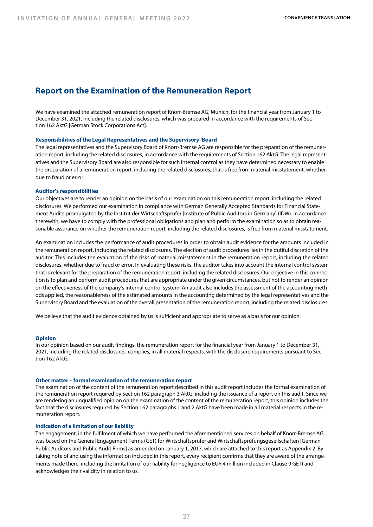# **Report on the Examination of the Remuneration Report**

We have examined the attached remuneration report of Knorr-Bremse AG, Munich, for the financial year from January 1 to December 31, 2021, including the related disclosures, which was prepared in accordance with the requirements of Section 162 AktG [German Stock Corporations Act].

#### **Responsibilities of the Legal Representatives and the Supervisory 'Board**

The legal representatives and the Supervisory Board of Knorr-Bremse AG are responsible for the preparation of the remuneration report, including the related disclosures, in accordance with the requirements of Section 162 AktG. The legal representatives and the Supervisory Board are also responsible for such internal control as they have determined necessary to enable the preparation of a remuneration report, including the related disclosures, that is free from material misstatement, whether due to fraud or error.

#### **Auditor's responsibilities**

Our objectives are to render an opinion on the basis of our examination on this remuneration report, including the related disclosures. We performed our examination in compliance with German Generally Accepted Standards for Financial Statement Audits promulgated by the Institut der Wirtschaftsprüfer [Institute of Public Auditors in Germany] (IDW). In accordance therewith, we have to comply with the professional obligations and plan and perform the examination so as to obtain reasonable assurance on whether the remuneration report, including the related disclosures, is free from material misstatement.

An examination includes the performance of audit procedures in order to obtain audit evidence for the amounts included in the remuneration report, including the related disclosures. The election of audit procedures lies in the dutiful discretion of the auditor. This includes the evaluation of the risks of material misstatement in the remuneration report, including the related disclosures, whether due to fraud or error. In evaluating these risks, the auditor takes into account the internal control system that is relevant for the preparation of the remuneration report, including the related disclosures. Our objective in this connection is to plan and perform audit procedures that are appropriate under the given circumstances, but not to render an opinion on the effectiveness of the company's internal control system. An audit also includes the assessment of the accounting methods applied, the reasonableness of the estimated amounts in the accounting determined by the legal representatives and the Supervisory Board and the evaluation of the overall presentation of the remuneration report, including the related disclosures.

We believe that the audit evidence obtained by us is sufficient and appropriate to serve as a basis for our opinion.

#### **Opinion**

In our opinion based on our audit findings, the remuneration report for the financial year from January 1 to December 31, 2021, including the related disclosures, complies, in all material respects, with the disclosure requirements pursuant to Section 162 AktG.

#### **Other matter – formal examination of the remuneration report**

The examination of the content of the remuneration report described in this audit report includes the formal examination of the remuneration report required by Section 162 paragraph 3 AktG, including the issuance of a report on this audit. Since we are rendering an unqualified opinion on the examination of the content of the remuneration report, this opinion includes the fact that the disclosures required by Section 162 paragraphs 1 and 2 AktG have been made in all material respects in the remuneration report.

#### **Indication of a limitation of our liability**

The engagement, in the fulfilment of which we have performed the aforementioned services on behalf of Knorr-Bremse AG, was based on the General Engagement Terms (GET) for Wirtschaftsprüfer and Wirtschaftsprüfungsgesellschaften [German Public Auditors and Public Audit Firms] as amended on January 1, 2017, which are attached to this report as Appendix 2. By taking note of and using the information included in this report, every recipient confirms that they are aware of the arrangements made there, including the limitation of our liability for negligence to EUR 4 million included in Clause 9 GET) and acknowledges their validity in relation to us.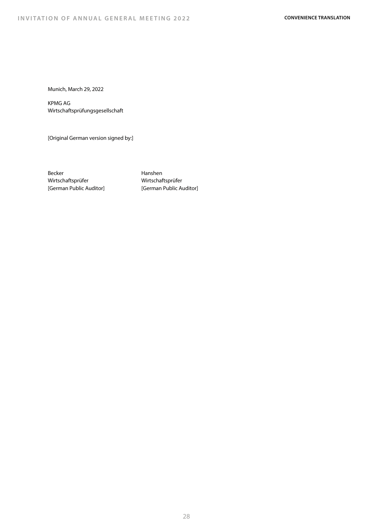Munich, March 29, 2022

KPMG AG Wirtschaftsprüfungsgesellschaft

[Original German version signed by:]

Becker Wirtschaftsprüfer [German Public Auditor] Hanshen Wirtschaftsprüfer [German Public Auditor]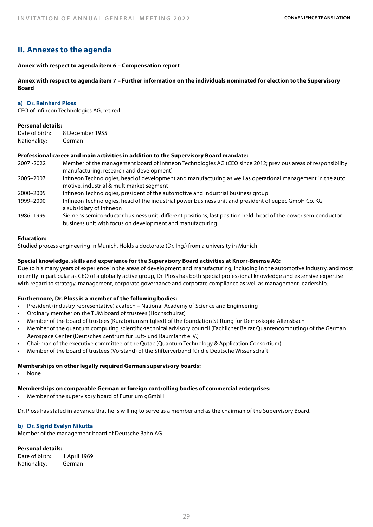# **II. Annexes to the agenda**

# **Annex with respect to agenda item 6 – Compensation report**

**Annex with respect to agenda item 7 – Further information on the individuals nominated for election to the Supervisory Board**

#### **a) Dr. Reinhard Ploss**

CEO of Infineon Technologies AG, retired

# **Personal details:**

| Date of birth: | 8 December 1955 |
|----------------|-----------------|
| Nationality:   | German          |

# **Professional career and main activities in addition to the Supervisory Board mandate:**

| 2007-2022 | Member of the management board of Infineon Technologies AG (CEO since 2012; previous areas of responsibility:<br>manufacturing; research and development)                  |
|-----------|----------------------------------------------------------------------------------------------------------------------------------------------------------------------------|
| 2005-2007 | Infineon Technologies, head of development and manufacturing as well as operational management in the auto<br>motive, industrial & multimarket segment                     |
| 2000-2005 | Infineon Technologies, president of the automotive and industrial business group                                                                                           |
| 1999-2000 | Infineon Technologies, head of the industrial power business unit and president of eupec GmbH Co. KG,<br>a subsidiary of Infineon                                          |
| 1986–1999 | Siemens semiconductor business unit, different positions; last position held: head of the power semiconductor<br>business unit with focus on development and manufacturing |

# **Education:**

Studied process engineering in Munich. Holds a doctorate (Dr. Ing.) from a university in Munich

# **Special knowledge, skills and experience for the Supervisory Board activities at Knorr-Bremse AG:**

Due to his many years of experience in the areas of development and manufacturing, including in the automotive industry, and most recently in particular as CEO of a globally active group, Dr. Ploss has both special professional knowledge and extensive expertise with regard to strategy, management, corporate governance and corporate compliance as well as management leadership.

# **Furthermore, Dr. Ploss is a member of the following bodies:**

- President (industry representative) acatech National Academy of Science and Engineering
- Ordinary member on the TUM board of trustees (Hochschulrat)
- Member of the board of trustees (Kuratoriumsmitglied) of the foundation Stiftung für Demoskopie Allensbach
- Member of the quantum computing scientific-technical advisory council (Fachlicher Beirat Quantencomputing) of the German Aerospace Center (Deutsches Zentrum für Luft- und Raumfahrt e. V.)
- Chairman of the executive committee of the Qutac (Quantum Technology & Application Consortium)
- Member of the board of trustees (Vorstand) of the Stifterverband für die Deutsche Wissenschaft

# **Memberships on other legally required German supervisory boards:**

• None

# **Memberships on comparable German or foreign controlling bodies of commercial enterprises:**

• Member of the supervisory board of Futurium gGmbH

Dr. Ploss has stated in advance that he is willing to serve as a member and as the chairman of the Supervisory Board.

# **b) Dr. Sigrid Evelyn Nikutta**

Member of the management board of Deutsche Bahn AG

# **Personal details:**

Date of birth: 1 April 1969 Nationality: German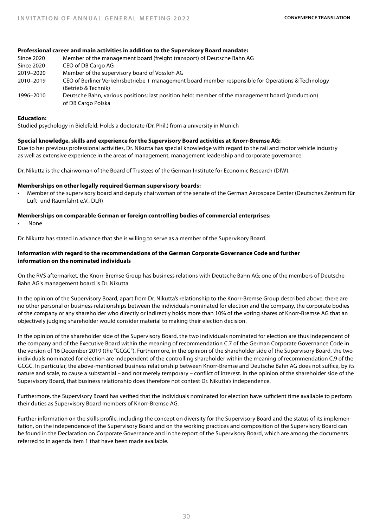# **Professional career and main activities in addition to the Supervisory Board mandate:**

Since 2020 Member of the management board (freight transport) of Deutsche Bahn AG Since 2020 CEO of DB Cargo AG 2019–2020 Member of the supervisory board of Vossloh AG 2010–2019 CEO of Berliner Verkehrsbetriebe + management board member responsible for Operations & Technology (Betrieb & Technik) 1996–2010 Deutsche Bahn, various positions; last position held: member of the management board (production) of DB Cargo Polska

# **Education:**

Studied psychology in Bielefeld. Holds a doctorate (Dr. Phil.) from a university in Munich

# **Special knowledge, skills and experience for the Supervisory Board activities at Knorr-Bremse AG:**

Due to her previous professional activities, Dr. Nikutta has special knowledge with regard to the rail and motor vehicle industry as well as extensive experience in the areas of management, management leadership and corporate governance.

Dr. Nikutta is the chairwoman of the Board of Trustees of the German Institute for Economic Research (DIW).

# **Memberships on other legally required German supervisory boards:**

• Member of the supervisory board and deputy chairwoman of the senate of the German Aerospace Center (Deutsches Zentrum für Luft- und Raumfahrt e.V., DLR)

# **Memberships on comparable German or foreign controlling bodies of commercial enterprises:**

• None

Dr. Nikutta has stated in advance that she is willing to serve as a member of the Supervisory Board.

# **Information with regard to the recommendations of the German Corporate Governance Code and further information on the nominated individuals**

On the RVS aftermarket, the Knorr-Bremse Group has business relations with Deutsche Bahn AG; one of the members of Deutsche Bahn AG's management board is Dr. Nikutta.

In the opinion of the Supervisory Board, apart from Dr. Nikutta's relationship to the Knorr-Bremse Group described above, there are no other personal or business relationships between the individuals nominated for election and the company, the corporate bodies of the company or any shareholder who directly or indirectly holds more than 10% of the voting shares of Knorr-Bremse AG that an objectively judging shareholder would consider material to making their election decision.

In the opinion of the shareholder side of the Supervisory Board, the two individuals nominated for election are thus independent of the company and of the Executive Board within the meaning of recommendation C.7 of the German Corporate Governance Code in the version of 16 December 2019 (the "GCGC"). Furthermore, in the opinion of the shareholder side of the Supervisory Board, the two individuals nominated for election are independent of the controlling shareholder within the meaning of recommendation C.9 of the GCGC. In particular, the above-mentioned business relationship between Knorr-Bremse and Deutsche Bahn AG does not suffice, by its nature and scale, to cause a substantial – and not merely temporary – conflict of interest. In the opinion of the shareholder side of the Supervisory Board, that business relationship does therefore not contest Dr. Nikutta's independence.

Furthermore, the Supervisory Board has verified that the individuals nominated for election have sufficient time available to perform their duties as Supervisory Board members of Knorr-Bremse AG.

Further information on the skills profile, including the concept on diversity for the Supervisory Board and the status of its implementation, on the independence of the Supervisory Board and on the working practices and composition of the Supervisory Board can be found in the Declaration on Corporate Governance and in the report of the Supervisory Board, which are among the documents referred to in agenda item 1 that have been made available.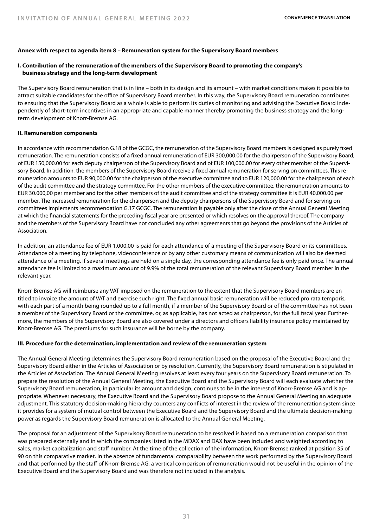# **Annex with respect to agenda item 8 – Remuneration system for the Supervisory Board members**

# **I. Contribution of the remuneration of the members of the Supervisory Board to promoting the company's business strategy and the long-term development**

The Supervisory Board remuneration that is in line – both in its design and its amount – with market conditions makes it possible to attract suitable candidates for the office of Supervisory Board member. In this way, the Supervisory Board remuneration contributes to ensuring that the Supervisory Board as a whole is able to perform its duties of monitoring and advising the Executive Board independently of short-term incentives in an appropriate and capable manner thereby promoting the business strategy and the longterm development of Knorr-Bremse AG.

#### **II. Remuneration components**

In accordance with recommendation G.18 of the GCGC, the remuneration of the Supervisory Board members is designed as purely fixed remuneration. The remuneration consists of a fixed annual remuneration of EUR 300,000.00 for the chairperson of the Supervisory Board, of EUR 150,000.00 for each deputy chairperson of the Supervisory Board and of EUR 100,000.00 for every other member of the Supervisory Board. In addition, the members of the Supervisory Board receive a fixed annual remuneration for serving on committees. This remuneration amounts to EUR 90,000.00 for the chairperson of the executive committee and to EUR 120,000.00 for the chairperson of each of the audit committee and the strategy committee. For the other members of the executive committee, the remuneration amounts to EUR 30.000,00 per member and for the other members of the audit committee and of the strategy committee it is EUR 40,000.00 per member. The increased remuneration for the chairperson and the deputy chairpersons of the Supervisory Board and for serving on committees implements recommendation G.17 GCGC. The remuneration is payable only after the close of the Annual General Meeting at which the financial statements for the preceding fiscal year are presented or which resolves on the approval thereof. The company and the members of the Supervisory Board have not concluded any other agreements that go beyond the provisions of the Articles of Association.

In addition, an attendance fee of EUR 1,000.00 is paid for each attendance of a meeting of the Supervisory Board or its committees. Attendance of a meeting by telephone, videoconference or by any other customary means of communication will also be deemed attendance of a meeting. If several meetings are held on a single day, the corresponding attendance fee is only paid once. The annual attendance fee is limited to a maximum amount of 9.9% of the total remuneration of the relevant Supervisory Board member in the relevant year.

Knorr-Bremse AG will reimburse any VAT imposed on the remuneration to the extent that the Supervisory Board members are entitled to invoice the amount of VAT and exercise such right. The fixed annual basic remuneration will be reduced pro rata temporis, with each part of a month being rounded up to a full month, if a member of the Supervisory Board or of the committee has not been a member of the Supervisory Board or the committee, or, as applicable, has not acted as chairperson, for the full fiscal year. Furthermore, the members of the Supervisory Board are also covered under a directors and officers liability insurance policy maintained by Knorr-Bremse AG. The premiums for such insurance will be borne by the company.

#### **III. Procedure for the determination, implementation and review of the remuneration system**

The Annual General Meeting determines the Supervisory Board remuneration based on the proposal of the Executive Board and the Supervisory Board either in the Articles of Association or by resolution. Currently, the Supervisory Board remuneration is stipulated in the Articles of Association. The Annual General Meeting resolves at least every four years on the Supervisory Board remuneration. To prepare the resolution of the Annual General Meeting, the Executive Board and the Supervisory Board will each evaluate whether the Supervisory Board remuneration, in particular its amount and design, continues to be in the interest of Knorr-Bremse AG and is appropriate. Whenever necessary, the Executive Board and the Supervisory Board propose to the Annual General Meeting an adequate adjustment. This statutory decision-making hierarchy counters any conflicts of interest in the review of the remuneration system since it provides for a system of mutual control between the Executive Board and the Supervisory Board and the ultimate decision-making power as regards the Supervisory Board remuneration is allocated to the Annual General Meeting.

The proposal for an adjustment of the Supervisory Board remuneration to be resolved is based on a remuneration comparison that was prepared externally and in which the companies listed in the MDAX and DAX have been included and weighted according to sales, market capitalization and staff number. At the time of the collection of the information, Knorr-Bremse ranked at position 35 of 90 on this comparative market. In the absence of fundamental comparability between the work performed by the Supervisory Board and that performed by the staff of Knorr-Bremse AG, a vertical comparison of remuneration would not be useful in the opinion of the Executive Board and the Supervisory Board and was therefore not included in the analysis.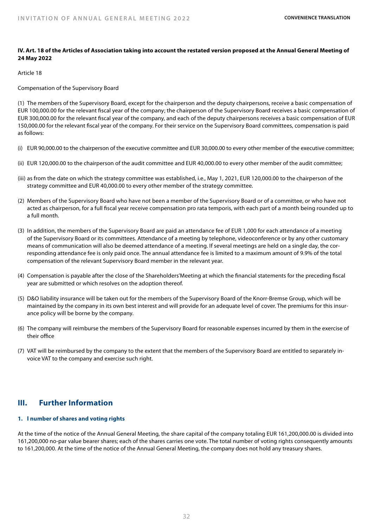# **IV. Art. 18 of the Articles of Association taking into account the restated version proposed at the Annual General Meeting of 24 May 2022**

# Article 18

Compensation of the Supervisory Board

(1) The members of the Supervisory Board, except for the chairperson and the deputy chairpersons, receive a basic compensation of EUR 100,000.00 for the relevant fiscal year of the company; the chairperson of the Supervisory Board receives a basic compensation of EUR 300,000.00 for the relevant fiscal year of the company, and each of the deputy chairpersons receives a basic compensation of EUR 150,000.00 for the relevant fiscal year of the company. For their service on the Supervisory Board committees, compensation is paid as follows:

- (i) EUR 90,000.00 to the chairperson of the executive committee and EUR 30,000.00 to every other member of the executive committee;
- (ii) EUR 120,000.00 to the chairperson of the audit committee and EUR 40,000.00 to every other member of the audit committee;
- (iii) as from the date on which the strategy committee was established, i.e., May 1, 2021, EUR 120,000.00 to the chairperson of the strategy committee and EUR 40,000.00 to every other member of the strategy committee.
- (2) Members of the Supervisory Board who have not been a member of the Supervisory Board or of a committee, or who have not acted as chairperson, for a full fiscal year receive compensation pro rata temporis, with each part of a month being rounded up to a full month.
- (3) In addition, the members of the Supervisory Board are paid an attendance fee of EUR 1,000 for each attendance of a meeting of the Supervisory Board or its committees. Attendance of a meeting by telephone, videoconference or by any other customary means of communication will also be deemed attendance of a meeting. If several meetings are held on a single day, the corresponding attendance fee is only paid once. The annual attendance fee is limited to a maximum amount of 9.9% of the total compensation of the relevant Supervisory Board member in the relevant year.
- (4) Compensation is payable after the close of the Shareholders'Meeting at which the financial statements for the preceding fiscal year are submitted or which resolves on the adoption thereof.
- (5) D&O liability insurance will be taken out for the members of the Supervisory Board of the Knorr-Bremse Group, which will be maintained by the company in its own best interest and will provide for an adequate level of cover. The premiums for this insurance policy will be borne by the company.
- (6) The company will reimburse the members of the Supervisory Board for reasonable expenses incurred by them in the exercise of their office
- (7) VAT will be reimbursed by the company to the extent that the members of the Supervisory Board are entitled to separately invoice VAT to the company and exercise such right.

# **III. Further Information**

# **1. l number of shares and voting rights**

At the time of the notice of the Annual General Meeting, the share capital of the company totaling EUR 161,200,000.00 is divided into 161,200,000 no-par value bearer shares; each of the shares carries one vote. The total number of voting rights consequently amounts to 161,200,000. At the time of the notice of the Annual General Meeting, the company does not hold any treasury shares.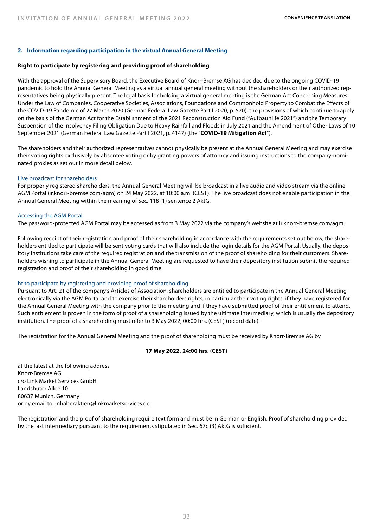# **2. Information regarding participation in the virtual Annual General Meeting**

#### **Right to participate by registering and providing proof of shareholding**

With the approval of the Supervisory Board, the Executive Board of Knorr-Bremse AG has decided due to the ongoing COVID-19 pandemic to hold the Annual General Meeting as a virtual annual general meeting without the shareholders or their authorized representatives being physically present. The legal basis for holding a virtual general meeting is the German Act Concerning Measures Under the Law of Companies, Cooperative Societies, Associations, Foundations and Commonhold Property to Combat the Effects of the COVID-19 Pandemic of 27 March 2020 (German Federal Law Gazette Part I 2020, p. 570), the provisions of which continue to apply on the basis of the German Act for the Establishment of the 2021 Reconstruction Aid Fund ("Aufbauhilfe 2021") and the Temporary Suspension of the Insolvency Filing Obligation Due to Heavy Rainfall and Floods in July 2021 and the Amendment of Other Laws of 10 September 2021 (German Federal Law Gazette Part I 2021, p. 4147) (the "**COVID-19 Mitigation Act**").

The shareholders and their authorized representatives cannot physically be present at the Annual General Meeting and may exercise their voting rights exclusively by absentee voting or by granting powers of attorney and issuing instructions to the company-nominated proxies as set out in more detail below.

#### Live broadcast for shareholders

For properly registered shareholders, the Annual General Meeting will be broadcast in a live audio and video stream via the online AGM Portal (ir.knorr-bremse.com/agm) on 24 May 2022, at 10:00 a.m. (CEST). The live broadcast does not enable participation in the Annual General Meeting within the meaning of Sec. 118 (1) sentence 2 AktG.

#### Accessing the AGM Portal

The password-protected AGM Portal may be accessed as from 3 May 2022 via the company's website at ir.knorr-bremse.com/agm.

Following receipt of their registration and proof of their shareholding in accordance with the requirements set out below, the shareholders entitled to participate will be sent voting cards that will also include the login details for the AGM Portal. Usually, the depository institutions take care of the required registration and the transmission of the proof of shareholding for their customers. Shareholders wishing to participate in the Annual General Meeting are requested to have their depository institution submit the required registration and proof of their shareholding in good time.

#### ht to participate by registering and providing proof of shareholding

Pursuant to Art. 21 of the company's Articles of Association, shareholders are entitled to participate in the Annual General Meeting electronically via the AGM Portal and to exercise their shareholders rights, in particular their voting rights, if they have registered for the Annual General Meeting with the company prior to the meeting and if they have submitted proof of their entitlement to attend. Such entitlement is proven in the form of proof of a shareholding issued by the ultimate intermediary, which is usually the depository institution. The proof of a shareholding must refer to 3 May 2022, 00:00 hrs. (CEST) (record date).

The registration for the Annual General Meeting and the proof of shareholding must be received by Knorr-Bremse AG by

#### **17 May 2022, 24:00 hrs. (CEST)**

at the latest at the following address Knorr-Bremse AG c/o Link Market Services GmbH Landshuter Allee 10 80637 Munich, Germany or by email to: inhaberaktien@linkmarketservices.de.

The registration and the proof of shareholding require text form and must be in German or English. Proof of shareholding provided by the last intermediary pursuant to the requirements stipulated in Sec. 67c (3) AktG is sufficient.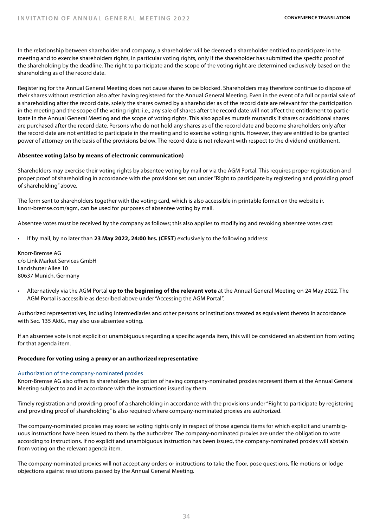In the relationship between shareholder and company, a shareholder will be deemed a shareholder entitled to participate in the meeting and to exercise shareholders rights, in particular voting rights, only if the shareholder has submitted the specific proof of the shareholding by the deadline. The right to participate and the scope of the voting right are determined exclusively based on the shareholding as of the record date.

Registering for the Annual General Meeting does not cause shares to be blocked. Shareholders may therefore continue to dispose of their shares without restriction also after having registered for the Annual General Meeting. Even in the event of a full or partial sale of a shareholding after the record date, solely the shares owned by a shareholder as of the record date are relevant for the participation in the meeting and the scope of the voting right; i.e., any sale of shares after the record date will not affect the entitlement to participate in the Annual General Meeting and the scope of voting rights. This also applies mutatis mutandis if shares or additional shares are purchased after the record date. Persons who do not hold any shares as of the record date and become shareholders only after the record date are not entitled to participate in the meeting and to exercise voting rights. However, they are entitled to be granted power of attorney on the basis of the provisions below. The record date is not relevant with respect to the dividend entitlement.

# **Absentee voting (also by means of electronic communication)**

Shareholders may exercise their voting rights by absentee voting by mail or via the AGM Portal. This requires proper registration and proper proof of shareholding in accordance with the provisions set out under "Right to participate by registering and providing proof of shareholding" above.

The form sent to shareholders together with the voting card, which is also accessible in printable format on the website ir. knorr-bremse.com/agm, can be used for purposes of absentee voting by mail.

Absentee votes must be received by the company as follows; this also applies to modifying and revoking absentee votes cast:

• If by mail, by no later than **23 May 2022, 24:00 hrs. (CEST)** exclusively to the following address:

Knorr-Bremse AG c/o Link Market Services GmbH Landshuter Allee 10 80637 Munich, Germany

• Alternatively via the AGM Portal **up to the beginning of the relevant vote** at the Annual General Meeting on 24 May 2022. The AGM Portal is accessible as described above under "Accessing the AGM Portal".

Authorized representatives, including intermediaries and other persons or institutions treated as equivalent thereto in accordance with Sec. 135 AktG, may also use absentee voting.

If an absentee vote is not explicit or unambiguous regarding a specific agenda item, this will be considered an abstention from voting for that agenda item.

#### **Procedure for voting using a proxy or an authorized representative**

#### Authorization of the company-nominated proxies

Knorr-Bremse AG also offers its shareholders the option of having company-nominated proxies represent them at the Annual General Meeting subject to and in accordance with the instructions issued by them.

Timely registration and providing proof of a shareholding in accordance with the provisions under "Right to participate by registering and providing proof of shareholding" is also required where company-nominated proxies are authorized.

The company-nominated proxies may exercise voting rights only in respect of those agenda items for which explicit and unambiguous instructions have been issued to them by the authorizer. The company-nominated proxies are under the obligation to vote according to instructions. If no explicit and unambiguous instruction has been issued, the company-nominated proxies will abstain from voting on the relevant agenda item.

The company-nominated proxies will not accept any orders or instructions to take the floor, pose questions, file motions or lodge objections against resolutions passed by the Annual General Meeting.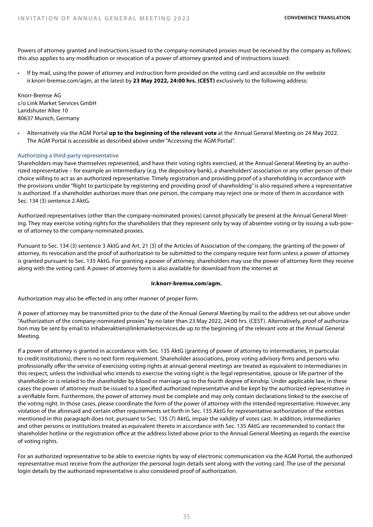Powers of attorney granted and instructions issued to the company-nominated proxies must be received by the company as follows; this also applies to any modification or revocation of a power of attorney granted and of instructions issued:

• If by mail, using the power of attorney and instruction form provided on the voting card and accessible on the website ir.knorr-bremse.com/agm, at the latest by **23 May 2022, 24:00 hrs. (CEST)** exclusively to the following address:

Knorr-Bremse AG c/o Link Market Services GmbH Landshuter Allee 10 80637 Munich, Germany

• Alternatively via the AGM Portal **up to the beginning of the relevant vote** at the Annual General Meeting on 24 May 2022. The AGM Portal is accessible as described above under "Accessing the AGM Portal".

# Authorizing a third-party representative

Shareholders may have themselves represented, and have their voting rights exercised, at the Annual General Meeting by an authorized representative – for example an intermediary (e.g. the depository bank), a shareholders' association or any other person of their choice willing to act as an authorized representative. Timely registration and providing proof of a shareholding in accordance with the provisions under "Right to participate by registering and providing proof of shareholding" is also required where a representative is authorized. If a shareholder authorizes more than one person, the company may reject one or more of them in accordance with Sec. 134 (3) sentence 2 AktG.

Authorized representatives (other than the company-nominated proxies) cannot physically be present at the Annual General Meeting. They may exercise voting rights for the shareholders that they represent only by way of absentee voting or by issuing a sub-power of attorney to the company-nominated proxies.

Pursuant to Sec. 134 (3) sentence 3 AktG and Art. 21 (3) of the Articles of Association of the company, the granting of the power of attorney, its revocation and the proof of authorization to be submitted to the company require text form unless a power of attorney is granted pursuant to Sec. 135 AktG. For granting a power of attorney, shareholders may use the power of attorney form they receive along with the voting card. A power of attorney form is also available for download from the internet at

#### **ir.knorr-bremse.com/agm.**

Authorization may also be effected in any other manner of proper form.

A power of attorney may be transmitted prior to the date of the Annual General Meeting by mail to the address set out above under "Authorization of the company-nominated proxies" by no later than 23 May 2022, 24:00 hrs. (CEST). Alternatively, proof of authorization may be sent by email to inhaberaktien@linkmarketservices.de up to the beginning of the relevant vote at the Annual General Meeting.

If a power of attorney is granted in accordance with Sec. 135 AktG (granting of power of attorney to intermediaries, in particular to credit institutions), there is no text form requirement. Shareholder associations, proxy voting advisory firms and persons who professionally offer the service of exercising voting rights at annual general meetings are treated as equivalent to intermediaries in this respect, unless the individual who intends to exercise the voting right is the legal representative, spouse or life partner of the shareholder or is related to the shareholder by blood or marriage up to the fourth degree of kinship. Under applicable law, in these cases the power of attorney must be issued to a specified authorized representative and be kept by the authorized representative in a verifiable form. Furthermore, the power of attorney must be complete and may only contain declarations linked to the exercise of the voting right. In those cases, please coordinate the form of the power of attorney with the intended representative. However, any violation of the aforesaid and certain other requirements set forth in Sec. 135 AktG for representative authorization of the entities mentioned in this paragraph does not, pursuant to Sec. 135 (7) AktG, impair the validity of votes cast. In addition, intermediaries and other persons or institutions treated as equivalent thereto in accordance with Sec. 135 AktG are recommended to contact the shareholder hotline or the registration office at the address listed above prior to the Annual General Meeting as regards the exercise of voting rights.

For an authorized representative to be able to exercise rights by way of electronic communication via the AGM Portal, the authorized representative must receive from the authorizer the personal login details sent along with the voting card. The use of the personal login details by the authorized representative is also considered proof of authorization.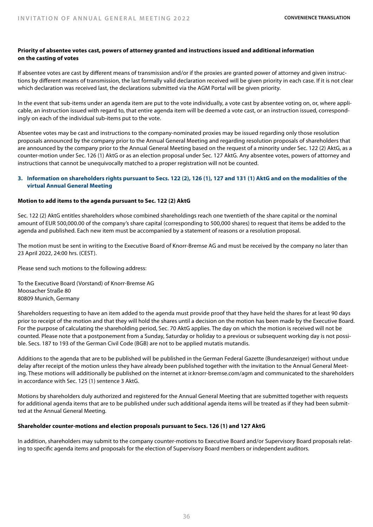# **Priority of absentee votes cast, powers of attorney granted and instructions issued and additional information on the casting of votes**

If absentee votes are cast by different means of transmission and/or if the proxies are granted power of attorney and given instructions by different means of transmission, the last formally valid declaration received will be given priority in each case. If it is not clear which declaration was received last, the declarations submitted via the AGM Portal will be given priority.

In the event that sub-items under an agenda item are put to the vote individually, a vote cast by absentee voting on, or, where applicable, an instruction issued with regard to, that entire agenda item will be deemed a vote cast, or an instruction issued, correspondingly on each of the individual sub-items put to the vote.

Absentee votes may be cast and instructions to the company-nominated proxies may be issued regarding only those resolution proposals announced by the company prior to the Annual General Meeting and regarding resolution proposals of shareholders that are announced by the company prior to the Annual General Meeting based on the request of a minority under Sec. 122 (2) AktG, as a counter-motion under Sec. 126 (1) AktG or as an election proposal under Sec. 127 AktG. Any absentee votes, powers of attorney and instructions that cannot be unequivocally matched to a proper registration will not be counted.

# **3. Information on shareholders rights pursuant to Secs. 122 (2), 126 (1), 127 and 131 (1) AktG and on the modalities of the virtual Annual General Meeting**

# **Motion to add items to the agenda pursuant to Sec. 122 (2) AktG**

Sec. 122 (2) AktG entitles shareholders whose combined shareholdings reach one twentieth of the share capital or the nominal amount of EUR 500,000.00 of the company's share capital (corresponding to 500,000 shares) to request that items be added to the agenda and published. Each new item must be accompanied by a statement of reasons or a resolution proposal.

The motion must be sent in writing to the Executive Board of Knorr-Bremse AG and must be received by the company no later than 23 April 2022, 24:00 hrs. (CEST).

Please send such motions to the following address:

To the Executive Board (Vorstand) of Knorr-Bremse AG Moosacher Straße 80 80809 Munich, Germany

Shareholders requesting to have an item added to the agenda must provide proof that they have held the shares for at least 90 days prior to receipt of the motion and that they will hold the shares until a decision on the motion has been made by the Executive Board. For the purpose of calculating the shareholding period, Sec. 70 AktG applies. The day on which the motion is received will not be counted. Please note that a postponement from a Sunday, Saturday or holiday to a previous or subsequent working day is not possible. Secs. 187 to 193 of the German Civil Code (BGB) are not to be applied mutatis mutandis.

Additions to the agenda that are to be published will be published in the German Federal Gazette (Bundesanzeiger) without undue delay after receipt of the motion unless they have already been published together with the invitation to the Annual General Meeting. These motions will additionally be published on the internet at ir.knorr-bremse.com/agm and communicated to the shareholders in accordance with Sec. 125 (1) sentence 3 AktG.

Motions by shareholders duly authorized and registered for the Annual General Meeting that are submitted together with requests for additional agenda items that are to be published under such additional agenda items will be treated as if they had been submitted at the Annual General Meeting.

# **Shareholder counter-motions and election proposals pursuant to Secs. 126 (1) and 127 AktG**

In addition, shareholders may submit to the company counter-motions to Executive Board and/or Supervisory Board proposals relating to specific agenda items and proposals for the election of Supervisory Board members or independent auditors.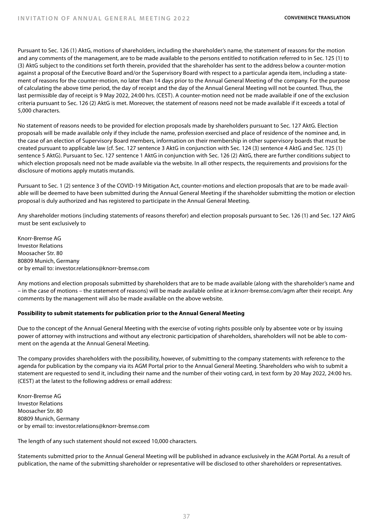Pursuant to Sec. 126 (1) AktG, motions of shareholders, including the shareholder's name, the statement of reasons for the motion and any comments of the management, are to be made available to the persons entitled to notification referred to in Sec. 125 (1) to (3) AktG subject to the conditions set forth therein, provided that the shareholder has sent to the address below a counter-motion against a proposal of the Executive Board and/or the Supervisory Board with respect to a particular agenda item, including a statement of reasons for the counter-motion, no later than 14 days prior to the Annual General Meeting of the company. For the purpose of calculating the above time period, the day of receipt and the day of the Annual General Meeting will not be counted. Thus, the last permissible day of receipt is 9 May 2022, 24:00 hrs. (CEST). A counter-motion need not be made available if one of the exclusion criteria pursuant to Sec. 126 (2) AktG is met. Moreover, the statement of reasons need not be made available if it exceeds a total of 5,000 characters.

No statement of reasons needs to be provided for election proposals made by shareholders pursuant to Sec. 127 AktG. Election proposals will be made available only if they include the name, profession exercised and place of residence of the nominee and, in the case of an election of Supervisory Board members, information on their membership in other supervisory boards that must be created pursuant to applicable law (cf. Sec. 127 sentence 3 AktG in conjunction with Sec. 124 (3) sentence 4 AktG and Sec. 125 (1) sentence 5 AktG). Pursuant to Sec. 127 sentence 1 AktG in conjunction with Sec. 126 (2) AktG, there are further conditions subject to which election proposals need not be made available via the website. In all other respects, the requirements and provisions for the disclosure of motions apply mutatis mutandis.

Pursuant to Sec. 1 (2) sentence 3 of the COVID-19 Mitigation Act, counter-motions and election proposals that are to be made available will be deemed to have been submitted during the Annual General Meeting if the shareholder submitting the motion or election proposal is duly authorized and has registered to participate in the Annual General Meeting.

Any shareholder motions (including statements of reasons therefor) and election proposals pursuant to Sec. 126 (1) and Sec. 127 AktG must be sent exclusively to

Knorr-Bremse AG Investor Relations Moosacher Str. 80 80809 Munich, Germany or by email to: investor.relations@knorr-bremse.com

Any motions and election proposals submitted by shareholders that are to be made available (along with the shareholder's name and – in the case of motions – the statement of reasons) will be made available online at ir.knorr-bremse.com/agm after their receipt. Any comments by the management will also be made available on the above website.

# **Possibility to submit statements for publication prior to the Annual General Meeting**

Due to the concept of the Annual General Meeting with the exercise of voting rights possible only by absentee vote or by issuing power of attorney with instructions and without any electronic participation of shareholders, shareholders will not be able to comment on the agenda at the Annual General Meeting.

The company provides shareholders with the possibility, however, of submitting to the company statements with reference to the agenda for publication by the company via its AGM Portal prior to the Annual General Meeting. Shareholders who wish to submit a statement are requested to send it, including their name and the number of their voting card, in text form by 20 May 2022, 24:00 hrs. (CEST) at the latest to the following address or email address:

Knorr-Bremse AG Investor Relations Moosacher Str. 80 80809 Munich, Germany or by email to: investor.relations@knorr-bremse.com

The length of any such statement should not exceed 10,000 characters.

Statements submitted prior to the Annual General Meeting will be published in advance exclusively in the AGM Portal. As a result of publication, the name of the submitting shareholder or representative will be disclosed to other shareholders or representatives.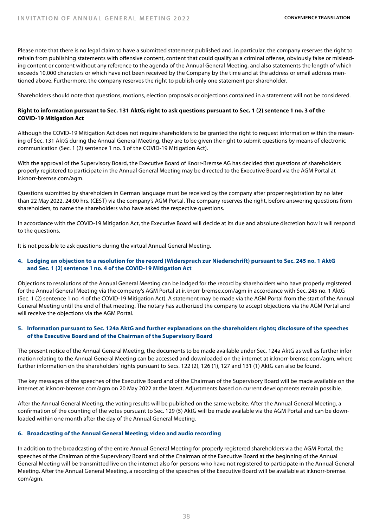Please note that there is no legal claim to have a submitted statement published and, in particular, the company reserves the right to refrain from publishing statements with offensive content, content that could qualify as a criminal offense, obviously false or misleading content or content without any reference to the agenda of the Annual General Meeting, and also statements the length of which exceeds 10,000 characters or which have not been received by the Company by the time and at the address or email address mentioned above. Furthermore, the company reserves the right to publish only one statement per shareholder.

Shareholders should note that questions, motions, election proposals or objections contained in a statement will not be considered.

# **Right to information pursuant to Sec. 131 AktG; right to ask questions pursuant to Sec. 1 (2) sentence 1 no. 3 of the COVID-19 Mitigation Act**

Although the COVID-19 Mitigation Act does not require shareholders to be granted the right to request information within the meaning of Sec. 131 AktG during the Annual General Meeting, they are to be given the right to submit questions by means of electronic communication (Sec. 1 (2) sentence 1 no. 3 of the COVID-19 Mitigation Act).

With the approval of the Supervisory Board, the Executive Board of Knorr-Bremse AG has decided that questions of shareholders properly registered to participate in the Annual General Meeting may be directed to the Executive Board via the AGM Portal at ir.knorr-bremse.com/agm.

Questions submitted by shareholders in German language must be received by the company after proper registration by no later than 22 May 2022, 24:00 hrs. (CEST) via the company's AGM Portal. The company reserves the right, before answering questions from shareholders, to name the shareholders who have asked the respective questions.

In accordance with the COVID-19 Mitigation Act, the Executive Board will decide at its due and absolute discretion how it will respond to the questions.

It is not possible to ask questions during the virtual Annual General Meeting.

# **4. Lodging an objection to a resolution for the record (Widerspruch zur Niederschrift) pursuant to Sec. 245 no. 1 AktG and Sec. 1 (2) sentence 1 no. 4 of the COVID-19 Mitigation Act**

Objections to resolutions of the Annual General Meeting can be lodged for the record by shareholders who have properly registered for the Annual General Meeting via the company's AGM Portal at ir.knorr-bremse.com/agm in accordance with Sec. 245 no. 1 AktG (Sec. 1 (2) sentence 1 no. 4 of the COVID-19 Mitigation Act). A statement may be made via the AGM Portal from the start of the Annual General Meeting until the end of that meeting. The notary has authorized the company to accept objections via the AGM Portal and will receive the objections via the AGM Portal.

# **5. Information pursuant to Sec. 124a AktG and further explanations on the shareholders rights; disclosure of the speeches of the Executive Board and of the Chairman of the Supervisory Board**

The present notice of the Annual General Meeting, the documents to be made available under Sec. 124a AktG as well as further information relating to the Annual General Meeting can be accessed and downloaded on the internet at ir.knorr-bremse.com/agm, where further information on the shareholders' rights pursuant to Secs. 122 (2), 126 (1), 127 and 131 (1) AktG can also be found.

The key messages of the speeches of the Executive Board and of the Chairman of the Supervisory Board will be made available on the internet at ir.knorr-bremse.com/agm on 20 May 2022 at the latest. Adjustments based on current developments remain possible.

After the Annual General Meeting, the voting results will be published on the same website. After the Annual General Meeting, a confirmation of the counting of the votes pursuant to Sec. 129 (5) AktG will be made available via the AGM Portal and can be downloaded within one month after the day of the Annual General Meeting.

# **6. Broadcasting of the Annual General Meeting; video and audio recording**

In addition to the broadcasting of the entire Annual General Meeting for properly registered shareholders via the AGM Portal, the speeches of the Chairman of the Supervisory Board and of the Chairman of the Executive Board at the beginning of the Annual General Meeting will be transmitted live on the internet also for persons who have not registered to participate in the Annual General Meeting. After the Annual General Meeting, a recording of the speeches of the Executive Board will be available at ir.knorr-bremse. com/agm.